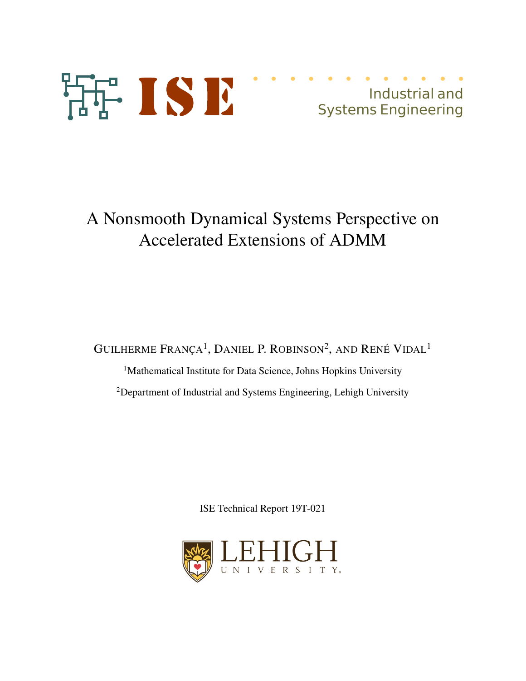

# A Nonsmooth Dynamical Systems Perspective on Accelerated Extensions of ADMM

GUILHERME  $\text{França}^1$ , Daniel P. Robinson<sup>2</sup>, and René Vidal<sup>1</sup>

<sup>1</sup>Mathematical Institute for Data Science, Johns Hopkins University <sup>2</sup>Department of Industrial and Systems Engineering, Lehigh University

ISE Technical Report 19T-021

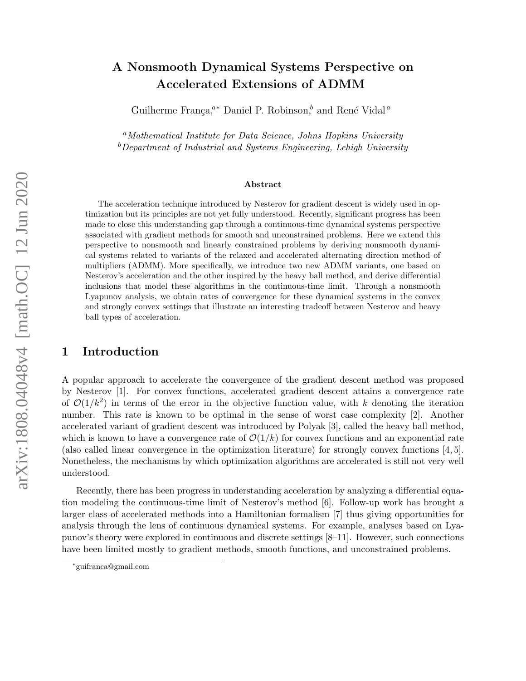# A Nonsmooth Dynamical Systems Perspective on Accelerated Extensions of ADMM

Guilherme França,<sup>a∗</sup> Daniel P. Robinson,<sup>b</sup> and René Vidal<sup>*a*</sup>

<sup>a</sup>Mathematical Institute for Data Science, Johns Hopkins University  $b$ Department of Industrial and Systems Engineering, Lehigh University

#### Abstract

The acceleration technique introduced by Nesterov for gradient descent is widely used in optimization but its principles are not yet fully understood. Recently, significant progress has been made to close this understanding gap through a continuous-time dynamical systems perspective associated with gradient methods for smooth and unconstrained problems. Here we extend this perspective to nonsmooth and linearly constrained problems by deriving nonsmooth dynamical systems related to variants of the relaxed and accelerated alternating direction method of multipliers (ADMM). More specifically, we introduce two new ADMM variants, one based on Nesterov's acceleration and the other inspired by the heavy ball method, and derive differential inclusions that model these algorithms in the continuous-time limit. Through a nonsmooth Lyapunov analysis, we obtain rates of convergence for these dynamical systems in the convex and strongly convex settings that illustrate an interesting tradeoff between Nesterov and heavy ball types of acceleration.

# 1 Introduction

A popular approach to accelerate the convergence of the gradient descent method was proposed by Nesterov [1]. For convex functions, accelerated gradient descent attains a convergence rate of  $\mathcal{O}(1/k^2)$  in terms of the error in the objective function value, with k denoting the iteration number. This rate is known to be optimal in the sense of worst case complexity [2]. Another accelerated variant of gradient descent was introduced by Polyak [3], called the heavy ball method, which is known to have a convergence rate of  $\mathcal{O}(1/k)$  for convex functions and an exponential rate (also called linear convergence in the optimization literature) for strongly convex functions [4, 5]. Nonetheless, the mechanisms by which optimization algorithms are accelerated is still not very well understood.

Recently, there has been progress in understanding acceleration by analyzing a differential equation modeling the continuous-time limit of Nesterov's method [6]. Follow-up work has brought a larger class of accelerated methods into a Hamiltonian formalism [7] thus giving opportunities for analysis through the lens of continuous dynamical systems. For example, analyses based on Lyapunov's theory were explored in continuous and discrete settings [8–11]. However, such connections have been limited mostly to gradient methods, smooth functions, and unconstrained problems.

<sup>∗</sup> guifranca@gmail.com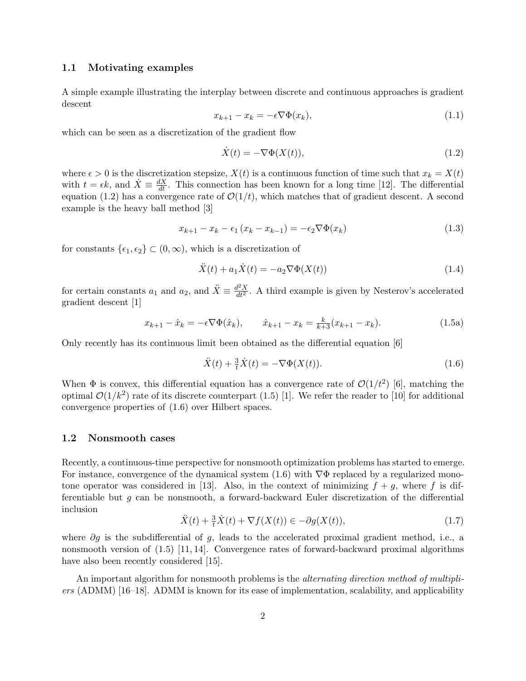#### 1.1 Motivating examples

A simple example illustrating the interplay between discrete and continuous approaches is gradient descent

$$
x_{k+1} - x_k = -\epsilon \nabla \Phi(x_k), \tag{1.1}
$$

which can be seen as a discretization of the gradient flow

$$
\dot{X}(t) = -\nabla \Phi(X(t)),\tag{1.2}
$$

where  $\epsilon > 0$  is the discretization stepsize,  $X(t)$  is a continuous function of time such that  $x_k = X(t)$ with  $t = \epsilon k$ , and  $\dot{X} \equiv \frac{dX}{dt}$ . This connection has been known for a long time [12]. The differential equation (1.2) has a convergence rate of  $\mathcal{O}(1/t)$ , which matches that of gradient descent. A second example is the heavy ball method [3]

$$
x_{k+1} - x_k - \epsilon_1 (x_k - x_{k-1}) = -\epsilon_2 \nabla \Phi(x_k)
$$
\n
$$
(1.3)
$$

for constants  $\{\epsilon_1, \epsilon_2\} \subset (0, \infty)$ , which is a discretization of

$$
\ddot{X}(t) + a_1 \dot{X}(t) = -a_2 \nabla \Phi(X(t))
$$
\n(1.4)

for certain constants  $a_1$  and  $a_2$ , and  $\ddot{X} \equiv \frac{d^2 X}{dt^2}$ . A third example is given by Nesterov's accelerated gradient descent [1]

$$
x_{k+1} - \hat{x}_k = -\epsilon \nabla \Phi(\hat{x}_k), \qquad \hat{x}_{k+1} - x_k = \frac{k}{k+3}(x_{k+1} - x_k). \tag{1.5a}
$$

Only recently has its continuous limit been obtained as the differential equation [6]

$$
\ddot{X}(t) + \frac{3}{t}\dot{X}(t) = -\nabla\Phi(X(t)).\tag{1.6}
$$

When  $\Phi$  is convex, this differential equation has a convergence rate of  $\mathcal{O}(1/t^2)$  [6], matching the optimal  $\mathcal{O}(1/k^2)$  rate of its discrete counterpart (1.5) [1]. We refer the reader to [10] for additional convergence properties of (1.6) over Hilbert spaces.

# 1.2 Nonsmooth cases

Recently, a continuous-time perspective for nonsmooth optimization problems has started to emerge. For instance, convergence of the dynamical system  $(1.6)$  with  $\nabla \Phi$  replaced by a regularized monotone operator was considered in [13]. Also, in the context of minimizing  $f + g$ , where f is differentiable but g can be nonsmooth, a forward-backward Euler discretization of the differential inclusion

$$
\ddot{X}(t) + \frac{3}{t}\dot{X}(t) + \nabla f(X(t)) \in -\partial g(X(t)),\tag{1.7}
$$

where  $\partial g$  is the subdifferential of g, leads to the accelerated proximal gradient method, i.e., a nonsmooth version of (1.5) [11, 14]. Convergence rates of forward-backward proximal algorithms have also been recently considered [15].

An important algorithm for nonsmooth problems is the *alternating direction method of multipli*ers (ADMM) [16–18]. ADMM is known for its ease of implementation, scalability, and applicability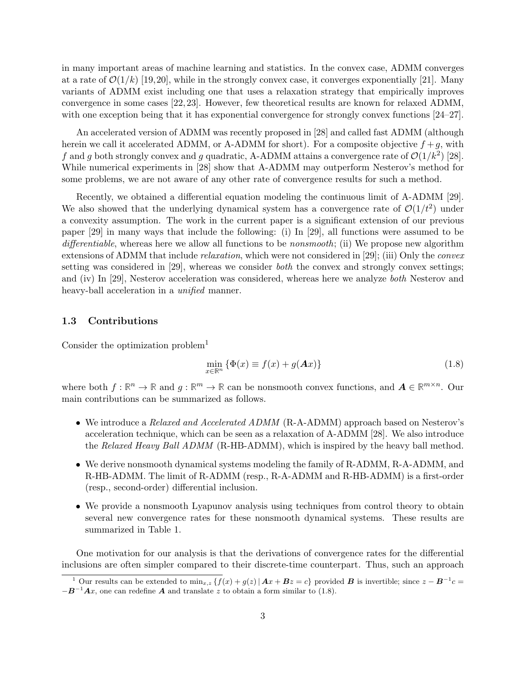in many important areas of machine learning and statistics. In the convex case, ADMM converges at a rate of  $\mathcal{O}(1/k)$  [19,20], while in the strongly convex case, it converges exponentially [21]. Many variants of ADMM exist including one that uses a relaxation strategy that empirically improves convergence in some cases [22, 23]. However, few theoretical results are known for relaxed ADMM, with one exception being that it has exponential convergence for strongly convex functions [24–27].

An accelerated version of ADMM was recently proposed in [28] and called fast ADMM (although herein we call it accelerated ADMM, or A-ADMM for short). For a composite objective  $f + g$ , with f and g both strongly convex and g quadratic, A-ADMM attains a convergence rate of  $\mathcal{O}(1/k^2)$  [28]. While numerical experiments in [28] show that A-ADMM may outperform Nesterov's method for some problems, we are not aware of any other rate of convergence results for such a method.

Recently, we obtained a differential equation modeling the continuous limit of A-ADMM [29]. We also showed that the underlying dynamical system has a convergence rate of  $\mathcal{O}(1/t^2)$  under a convexity assumption. The work in the current paper is a significant extension of our previous paper [29] in many ways that include the following: (i) In [29], all functions were assumed to be differentiable, whereas here we allow all functions to be *nonsmooth*; (ii) We propose new algorithm extensions of ADMM that include *relaxation*, which were not considered in [29]; (iii) Only the *convex* setting was considered in [29], whereas we consider both the convex and strongly convex settings; and (iv) In [29], Nesterov acceleration was considered, whereas here we analyze both Nesterov and heavy-ball acceleration in a *unified* manner.

# 1.3 Contributions

Consider the optimization problem<sup>1</sup>

$$
\min_{x \in \mathbb{R}^n} \{ \Phi(x) \equiv f(x) + g(Ax) \}
$$
\n(1.8)

where both  $f: \mathbb{R}^n \to \mathbb{R}$  and  $g: \mathbb{R}^m \to \mathbb{R}$  can be nonsmooth convex functions, and  $A \in \mathbb{R}^{m \times n}$ . Our main contributions can be summarized as follows.

- We introduce a *Relaxed and Accelerated ADMM* (R-A-ADMM) approach based on Nesterov's acceleration technique, which can be seen as a relaxation of A-ADMM [28]. We also introduce the Relaxed Heavy Ball ADMM (R-HB-ADMM), which is inspired by the heavy ball method.
- We derive nonsmooth dynamical systems modeling the family of R-ADMM, R-A-ADMM, and R-HB-ADMM. The limit of R-ADMM (resp., R-A-ADMM and R-HB-ADMM) is a first-order (resp., second-order) differential inclusion.
- We provide a nonsmooth Lyapunov analysis using techniques from control theory to obtain several new convergence rates for these nonsmooth dynamical systems. These results are summarized in Table 1.

One motivation for our analysis is that the derivations of convergence rates for the differential inclusions are often simpler compared to their discrete-time counterpart. Thus, such an approach

<sup>&</sup>lt;sup>1</sup> Our results can be extended to  $\min_{x,z} \{f(x) + g(z) | Ax + Bz = c\}$  provided B is invertible; since  $z - B^{-1}c =$  $-B^{-1}Ax$ , one can redefine A and translate z to obtain a form similar to (1.8).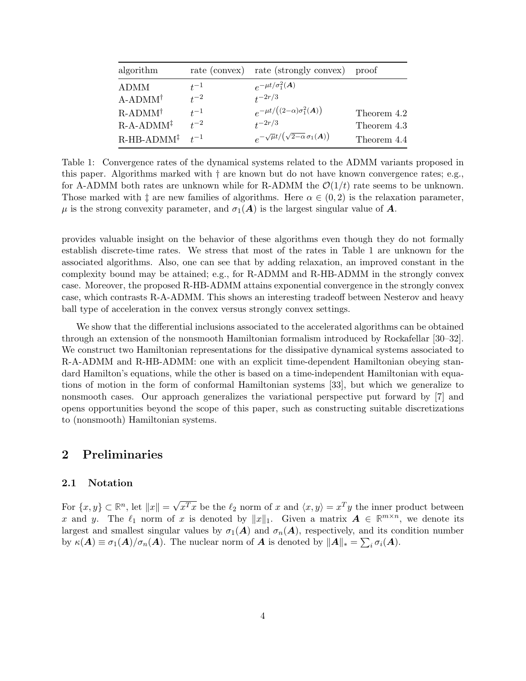| algorithm                                    |                      | rate (convex) rate (strongly convex) proof                       |                            |
|----------------------------------------------|----------------------|------------------------------------------------------------------|----------------------------|
| ADMM                                         | $t^{-1}$             | $e^{-\mu t/\sigma_1^2(\boldsymbol{A})}$                          |                            |
| $A-ADMM^{\dagger}$<br>$R$ -ADMM <sup>†</sup> | $t^{-2}$<br>$^{t-1}$ | $t^{-2r/3}$<br>$e^{-\mu t/\left((2-\alpha)\sigma_1^2(A)\right)}$ |                            |
| $R$ -A-ADMM <sup>‡</sup>                     | $^{t-2}$             | $t^{-2r/3}$                                                      | Theorem 4.2<br>Theorem 4.3 |
| $R$ -HB-ADMM <sup>‡</sup>                    | $+^{-1}$             | $e^{-\sqrt{\mu}t/\left(\sqrt{2-\alpha}\,\sigma_1(A)\right)}$     | Theorem 4.4                |

Table 1: Convergence rates of the dynamical systems related to the ADMM variants proposed in this paper. Algorithms marked with † are known but do not have known convergence rates; e.g., for A-ADMM both rates are unknown while for R-ADMM the  $\mathcal{O}(1/t)$  rate seems to be unknown. Those marked with  $\ddagger$  are new families of algorithms. Here  $\alpha \in (0, 2)$  is the relaxation parameter,  $\mu$  is the strong convexity parameter, and  $\sigma_1(A)$  is the largest singular value of A.

provides valuable insight on the behavior of these algorithms even though they do not formally establish discrete-time rates. We stress that most of the rates in Table 1 are unknown for the associated algorithms. Also, one can see that by adding relaxation, an improved constant in the complexity bound may be attained; e.g., for R-ADMM and R-HB-ADMM in the strongly convex case. Moreover, the proposed R-HB-ADMM attains exponential convergence in the strongly convex case, which contrasts R-A-ADMM. This shows an interesting tradeoff between Nesterov and heavy ball type of acceleration in the convex versus strongly convex settings.

We show that the differential inclusions associated to the accelerated algorithms can be obtained through an extension of the nonsmooth Hamiltonian formalism introduced by Rockafellar [30–32]. We construct two Hamiltonian representations for the dissipative dynamical systems associated to R-A-ADMM and R-HB-ADMM: one with an explicit time-dependent Hamiltonian obeying standard Hamilton's equations, while the other is based on a time-independent Hamiltonian with equations of motion in the form of conformal Hamiltonian systems [33], but which we generalize to nonsmooth cases. Our approach generalizes the variational perspective put forward by [7] and opens opportunities beyond the scope of this paper, such as constructing suitable discretizations to (nonsmooth) Hamiltonian systems.

# 2 Preliminaries

#### 2.1 Notation

For  $\{x, y\} \subset \mathbb{R}^n$ , let  $||x|| = \sqrt{x^T x}$  be the  $\ell_2$  norm of x and  $\langle x, y \rangle = x^T y$  the inner product between x and y. The  $\ell_1$  norm of x is denoted by  $||x||_1$ . Given a matrix  $A \in \mathbb{R}^{m \times n}$ , we denote its largest and smallest singular values by  $\sigma_1(A)$  and  $\sigma_n(A)$ , respectively, and its condition number by  $\kappa(A) \equiv \sigma_1(A)/\sigma_n(A)$ . The nuclear norm of A is denoted by  $||A||_* = \sum_i \sigma_i(A)$ .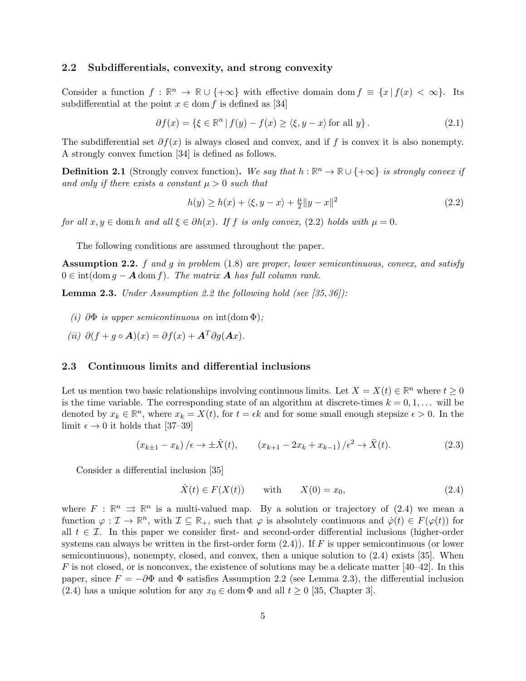### 2.2 Subdifferentials, convexity, and strong convexity

Consider a function  $f : \mathbb{R}^n \to \mathbb{R} \cup \{+\infty\}$  with effective domain dom  $f \equiv \{x \mid f(x) < \infty\}$ . Its subdifferential at the point  $x \in \text{dom } f$  is defined as [34]

$$
\partial f(x) = \{ \xi \in \mathbb{R}^n \mid f(y) - f(x) \ge \langle \xi, y - x \rangle \text{ for all } y \}. \tag{2.1}
$$

The subdifferential set  $\partial f(x)$  is always closed and convex, and if f is convex it is also nonempty. A strongly convex function [34] is defined as follows.

**Definition 2.1** (Strongly convex function). We say that  $h : \mathbb{R}^n \to \mathbb{R} \cup \{+\infty\}$  is strongly convex if and only if there exists a constant  $\mu > 0$  such that

$$
h(y) \ge h(x) + \langle \xi, y - x \rangle + \frac{\mu}{2} \|y - x\|^2 \tag{2.2}
$$

for all  $x, y \in \text{dom } h$  and all  $\xi \in \partial h(x)$ . If f is only convex, (2.2) holds with  $\mu = 0$ .

The following conditions are assumed throughout the paper.

**Assumption 2.2.** f and g in problem  $(1.8)$  are proper, lower semicontinuous, convex, and satisfy  $0 \in \text{int}(\text{dom } g - \mathbf{A} \text{ dom } f)$ . The matrix **A** has full column rank.

**Lemma 2.3.** Under Assumption 2.2 the following hold (see  $(35, 36)$ ):

- (i)  $\partial \Phi$  is upper semicontinuous on int(dom  $\Phi$ );
- (ii)  $\partial (f + g \circ \mathbf{A})(x) = \partial f(x) + \mathbf{A}^T \partial g(\mathbf{A}x)$ .

#### 2.3 Continuous limits and differential inclusions

Let us mention two basic relationships involving continuous limits. Let  $X = X(t) \in \mathbb{R}^n$  where  $t \geq 0$ is the time variable. The corresponding state of an algorithm at discrete-times  $k = 0, 1, \ldots$  will be denoted by  $x_k \in \mathbb{R}^n$ , where  $x_k = X(t)$ , for  $t = \epsilon k$  and for some small enough stepsize  $\epsilon > 0$ . In the limit  $\epsilon \to 0$  it holds that [37–39]

$$
(x_{k\pm 1} - x_k) / \epsilon \to \pm \dot{X}(t), \qquad (x_{k+1} - 2x_k + x_{k-1}) / \epsilon^2 \to \ddot{X}(t). \tag{2.3}
$$

Consider a differential inclusion [35]

$$
\dot{X}(t) \in F(X(t)) \quad \text{with} \quad X(0) = x_0,\tag{2.4}
$$

where  $F : \mathbb{R}^n \implies \mathbb{R}^n$  is a multi-valued map. By a solution or trajectory of (2.4) we mean a function  $\varphi : \mathcal{I} \to \mathbb{R}^n$ , with  $\mathcal{I} \subseteq \mathbb{R}_+$ , such that  $\varphi$  is absolutely continuous and  $\dot{\varphi}(t) \in F(\varphi(t))$  for all  $t \in \mathcal{I}$ . In this paper we consider first- and second-order differential inclusions (higher-order systems can always be written in the first-order form  $(2.4)$ ). If F is upper semicontinuous (or lower semicontinuous), nonempty, closed, and convex, then a unique solution to (2.4) exists [35]. When  $F$  is not closed, or is nonconvex, the existence of solutions may be a delicate matter [40–42]. In this paper, since  $F = -\partial \Phi$  and  $\Phi$  satisfies Assumption 2.2 (see Lemma 2.3), the differential inclusion (2.4) has a unique solution for any  $x_0 \in \text{dom }\Phi$  and all  $t \geq 0$  [35, Chapter 3].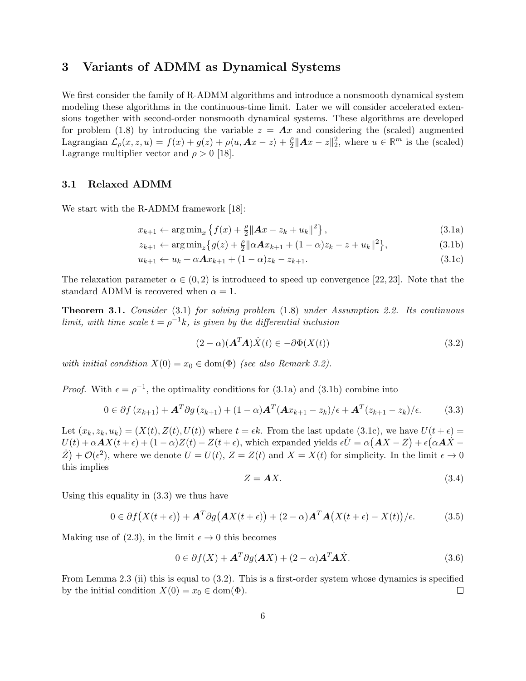# 3 Variants of ADMM as Dynamical Systems

We first consider the family of R-ADMM algorithms and introduce a nonsmooth dynamical system modeling these algorithms in the continuous-time limit. Later we will consider accelerated extensions together with second-order nonsmooth dynamical systems. These algorithms are developed for problem (1.8) by introducing the variable  $z = Ax$  and considering the (scaled) augmented Lagrangian  $\mathcal{L}_{\rho}(x, z, u) = f(x) + g(z) + \rho \langle u, \mathbf{A} x - z \rangle + \frac{\rho}{2}$  $\frac{\rho}{2}$ ||**A***x* − *z*|| $\frac{2}{2}$ , where  $u \in \mathbb{R}^m$  is the (scaled) Lagrange multiplier vector and  $\rho > 0$  [18].

# 3.1 Relaxed ADMM

We start with the R-ADMM framework [18]:

$$
x_{k+1} \leftarrow \arg\min_{x} \left\{ f(x) + \frac{\rho}{2} \|Ax - z_k + u_k\|^2 \right\},\tag{3.1a}
$$

$$
z_{k+1} \leftarrow \arg\min_{z} \left\{ g(z) + \frac{\rho}{2} \|\alpha A x_{k+1} + (1 - \alpha)z_k - z + u_k\|^2 \right\},\tag{3.1b}
$$

$$
u_{k+1} \leftarrow u_k + \alpha A x_{k+1} + (1 - \alpha) z_k - z_{k+1}.
$$
\n(3.1c)

The relaxation parameter  $\alpha \in (0, 2)$  is introduced to speed up convergence [22, 23]. Note that the standard ADMM is recovered when  $\alpha = 1$ .

Theorem 3.1. Consider (3.1) for solving problem (1.8) under Assumption 2.2. Its continuous limit, with time scale  $t = \rho^{-1}k$ , is given by the differential inclusion

$$
(2 - \alpha)(\mathbf{A}^T \mathbf{A}) \dot{X}(t) \in -\partial \Phi(X(t))
$$
\n(3.2)

with initial condition  $X(0) = x_0 \in \text{dom}(\Phi)$  (see also Remark 3.2).

*Proof.* With  $\epsilon = \rho^{-1}$ , the optimality conditions for (3.1a) and (3.1b) combine into

$$
0 \in \partial f(x_{k+1}) + \mathbf{A}^T \partial g(z_{k+1}) + (1 - \alpha) \mathbf{A}^T (\mathbf{A} x_{k+1} - z_k) / \epsilon + \mathbf{A}^T (z_{k+1} - z_k) / \epsilon.
$$
 (3.3)

Let  $(x_k, z_k, u_k) = (X(t), Z(t), U(t))$  where  $t = \epsilon k$ . From the last update (3.1c), we have  $U(t + \epsilon)$  $U(t) + \alpha A X(t + \epsilon) + (1 - \alpha)Z(t) - Z(t + \epsilon)$ , which expanded yields  $\epsilon \dot{U} = \alpha (AX - Z) + \epsilon (\alpha A \dot{X} - Z)$  $\dot{Z}$  +  $\mathcal{O}(\epsilon^2)$ , where we denote  $U = U(t)$ ,  $Z = Z(t)$  and  $X = X(t)$  for simplicity. In the limit  $\epsilon \to 0$ this implies

$$
Z = AX.\tag{3.4}
$$

Using this equality in (3.3) we thus have

$$
0 \in \partial f(X(t+\epsilon)) + \mathbf{A}^T \partial g(\mathbf{A}X(t+\epsilon)) + (2-\alpha)\mathbf{A}^T \mathbf{A}(X(t+\epsilon) - X(t))/\epsilon.
$$
 (3.5)

Making use of (2.3), in the limit  $\epsilon \to 0$  this becomes

$$
0 \in \partial f(X) + A^T \partial g(AX) + (2 - \alpha) A^T A \dot{X}.
$$
 (3.6)

From Lemma 2.3 (ii) this is equal to (3.2). This is a first-order system whose dynamics is specified by the initial condition  $X(0) = x_0 \in \text{dom}(\Phi)$ .  $\Box$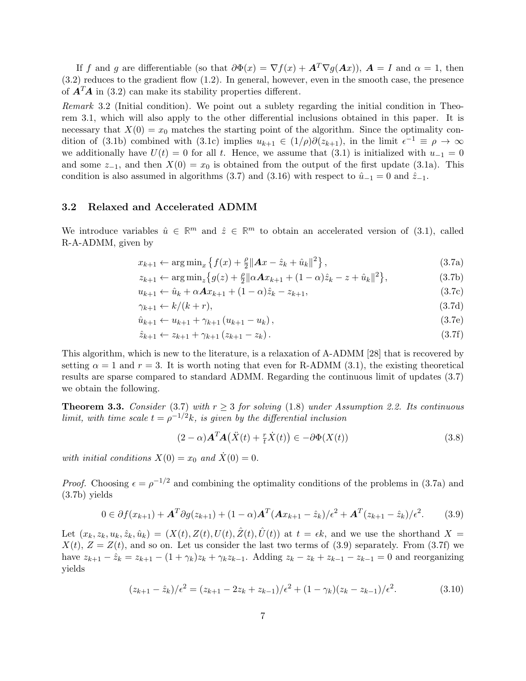If f and g are differentiable (so that  $\partial \Phi(x) = \nabla f(x) + A^T \nabla g(Ax)$ ),  $A = I$  and  $\alpha = 1$ , then (3.2) reduces to the gradient flow (1.2). In general, however, even in the smooth case, the presence of  $\mathbf{A}^T\mathbf{A}$  in (3.2) can make its stability properties different.

Remark 3.2 (Initial condition). We point out a sublety regarding the initial condition in Theorem 3.1, which will also apply to the other differential inclusions obtained in this paper. It is necessary that  $X(0) = x_0$  matches the starting point of the algorithm. Since the optimality condition of (3.1b) combined with (3.1c) implies  $u_{k+1} \in (1/\rho)\partial(z_{k+1})$ , in the limit  $\epsilon^{-1} \equiv \rho \to \infty$ we additionally have  $U(t) = 0$  for all t. Hence, we assume that (3.1) is initialized with  $u_{-1} = 0$ and some  $z_{-1}$ , and then  $X(0) = x_0$  is obtained from the output of the first update (3.1a). This condition is also assumed in algorithms (3.7) and (3.16) with respect to  $\hat{u}_{-1} = 0$  and  $\hat{z}_{-1}$ .

# 3.2 Relaxed and Accelerated ADMM

We introduce variables  $\hat{u} \in \mathbb{R}^m$  and  $\hat{z} \in \mathbb{R}^m$  to obtain an accelerated version of (3.1), called R-A-ADMM, given by

$$
x_{k+1} \leftarrow \arg\min_{x} \left\{ f(x) + \frac{\rho}{2} \|Ax - \hat{z}_k + \hat{u}_k\|^2 \right\},\tag{3.7a}
$$

$$
z_{k+1} \leftarrow \arg\min_{z} \left\{ g(z) + \frac{\rho}{2} \|\alpha A x_{k+1} + (1 - \alpha)\hat{z}_k - z + \hat{u}_k\|^2 \right\},\tag{3.7b}
$$

$$
u_{k+1} \leftarrow \hat{u}_k + \alpha A x_{k+1} + (1 - \alpha) \hat{z}_k - z_{k+1},
$$
\n(3.7c)

$$
\gamma_{k+1} \leftarrow k/(k+r),\tag{3.7d}
$$

$$
\hat{u}_{k+1} \leftarrow u_{k+1} + \gamma_{k+1} \left( u_{k+1} - u_k \right), \tag{3.7e}
$$

$$
\hat{z}_{k+1} \leftarrow z_{k+1} + \gamma_{k+1} \left( z_{k+1} - z_k \right). \tag{3.7f}
$$

This algorithm, which is new to the literature, is a relaxation of A-ADMM [28] that is recovered by setting  $\alpha = 1$  and  $r = 3$ . It is worth noting that even for R-ADMM (3.1), the existing theoretical results are sparse compared to standard ADMM. Regarding the continuous limit of updates (3.7) we obtain the following.

**Theorem 3.3.** Consider (3.7) with  $r \geq 3$  for solving (1.8) under Assumption 2.2. Its continuous limit, with time scale  $t = \rho^{-1/2}k$ , is given by the differential inclusion

$$
(2 - \alpha)\mathbf{A}^T \mathbf{A}(\ddot{X}(t) + \frac{r}{t}\dot{X}(t)) \in -\partial \Phi(X(t))
$$
\n(3.8)

with initial conditions  $X(0) = x_0$  and  $\dot{X}(0) = 0$ .

*Proof.* Choosing  $\epsilon = \rho^{-1/2}$  and combining the optimality conditions of the problems in (3.7a) and (3.7b) yields

$$
0 \in \partial f(x_{k+1}) + \mathbf{A}^T \partial g(z_{k+1}) + (1 - \alpha) \mathbf{A}^T (\mathbf{A} x_{k+1} - \hat{z}_k) / \epsilon^2 + \mathbf{A}^T (z_{k+1} - \hat{z}_k) / \epsilon^2.
$$
 (3.9)

Let  $(x_k, z_k, u_k, \hat{z}_k, \hat{u}_k) = (X(t), Z(t), U(t), \hat{Z}(t), \hat{U}(t))$  at  $t = \epsilon k$ , and we use the shorthand  $X =$  $X(t)$ ,  $Z = Z(t)$ , and so on. Let us consider the last two terms of (3.9) separately. From (3.7f) we have  $z_{k+1} - \hat{z}_k = z_{k+1} - (1 + \gamma_k)z_k + \gamma_k z_{k-1}$ . Adding  $z_k - z_k + z_{k-1} - z_{k-1} = 0$  and reorganizing yields

$$
(z_{k+1} - \hat{z}_k)/\epsilon^2 = (z_{k+1} - 2z_k + z_{k-1})/\epsilon^2 + (1 - \gamma_k)(z_k - z_{k-1})/\epsilon^2.
$$
 (3.10)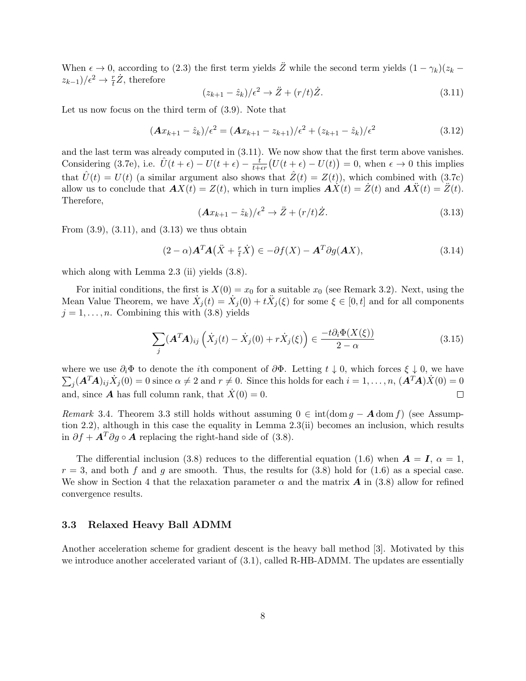When  $\epsilon \to 0$ , according to (2.3) the first term yields  $\ddot{Z}$  while the second term yields  $(1 - \gamma_k)(z_k (z_{k-1})/\epsilon^2 \to \frac{r}{t}\dot{Z}$ , therefore

$$
(z_{k+1} - \hat{z}_k)/\epsilon^2 \to \ddot{Z} + (r/t)\dot{Z}.
$$
\n(3.11)

Let us now focus on the third term of (3.9). Note that

$$
(A x_{k+1} - \hat{z}_k) / \epsilon^2 = (A x_{k+1} - z_{k+1}) / \epsilon^2 + (z_{k+1} - \hat{z}_k) / \epsilon^2
$$
\n(3.12)

and the last term was already computed in (3.11). We now show that the first term above vanishes. Considering (3.7e), i.e.  $\hat{U}(t+\epsilon) - U(t+\epsilon) - \frac{t}{t+\epsilon r}(U(t+\epsilon) - U(t)) = 0$ , when  $\epsilon \to 0$  this implies that  $\hat{U}(t) = U(t)$  (a similar argument also shows that  $\hat{Z}(t) = Z(t)$ ), which combined with (3.7c) allow us to conclude that  $AX(t) = Z(t)$ , which in turn implies  $\overrightarrow{AX}(t) = \overrightarrow{Z}(t)$  and  $\overrightarrow{AX}(t) = \overrightarrow{Z}(t)$ . Therefore,

$$
(\mathbf{A}x_{k+1} - \hat{z}_k)/\epsilon^2 \to \ddot{Z} + (r/t)\dot{Z}.
$$
\n(3.13)

From  $(3.9)$ ,  $(3.11)$ , and  $(3.13)$  we thus obtain

$$
(2 - \alpha)A^T A(\ddot{X} + \frac{r}{t} \dot{X}) \in -\partial f(X) - A^T \partial g(AX), \qquad (3.14)
$$

which along with Lemma 2.3 (ii) yields  $(3.8)$ .

For initial conditions, the first is  $X(0) = x_0$  for a suitable  $x_0$  (see Remark 3.2). Next, using the Mean Value Theorem, we have  $\dot{X}_j(t) = \dot{X}_j(0) + t\ddot{X}_j(\xi)$  for some  $\xi \in [0, t]$  and for all components  $j = 1, \ldots, n$ . Combining this with (3.8) yields

$$
\sum_{j} (A^T A)_{ij} \left( \dot{X}_j(t) - \dot{X}_j(0) + r \dot{X}_j(\xi) \right) \in \frac{-t \partial_i \Phi(X(\xi))}{2 - \alpha}
$$
\n(3.15)

where we use  $\partial_i \Phi$  to denote the *i*th component of  $\partial \Phi$ . Letting  $t \downarrow 0$ , which forces  $\xi \downarrow 0$ , we have  $\sum_j (\mathbf{A}^T \mathbf{A})_{ij} \dot{X}_j(0) = 0$  since  $\alpha \neq 2$  and  $r \neq 0$ . Since this holds for each  $i = 1, \ldots, n$ ,  $(\mathbf{A}^T \mathbf{A}) \dot{X}(0) = 0$ and, since **A** has full column rank, that  $\dot{X}(0) = 0$ .  $\Box$ 

Remark 3.4. Theorem 3.3 still holds without assuming  $0 \in \text{int}(\text{dom } q - \mathbf{A} \text{ dom } f)$  (see Assumption 2.2), although in this case the equality in Lemma 2.3(ii) becomes an inclusion, which results in  $\partial f + A^T \partial q \circ A$  replacing the right-hand side of (3.8).

The differential inclusion (3.8) reduces to the differential equation (1.6) when  $\mathbf{A} = \mathbf{I}$ ,  $\alpha = 1$ ,  $r = 3$ , and both f and g are smooth. Thus, the results for  $(3.8)$  hold for  $(1.6)$  as a special case. We show in Section 4 that the relaxation parameter  $\alpha$  and the matrix  $\vec{A}$  in (3.8) allow for refined convergence results.

# 3.3 Relaxed Heavy Ball ADMM

Another acceleration scheme for gradient descent is the heavy ball method [3]. Motivated by this we introduce another accelerated variant of (3.1), called R-HB-ADMM. The updates are essentially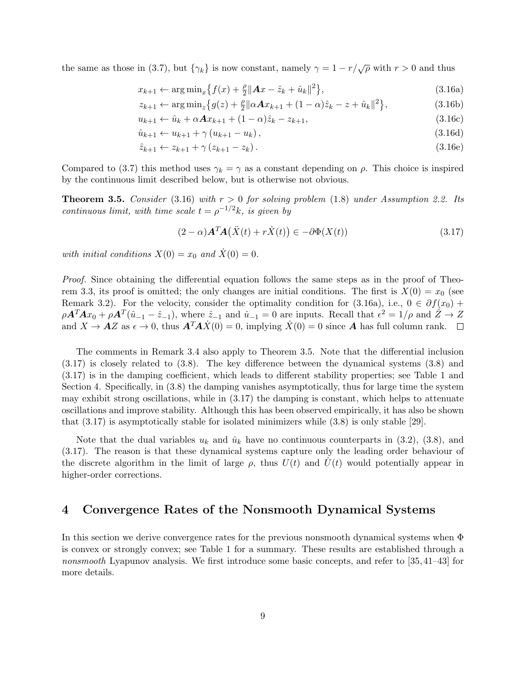the same as those in (3.7), but  $\{\gamma_k\}$  is now constant, namely  $\gamma = 1 - r/\sqrt{\rho}$  with  $r > 0$  and thus

$$
x_{k+1} \leftarrow \arg\min_{x} \{ f(x) + \frac{\rho}{2} ||Ax - \hat{z}_k + \hat{u}_k||^2 \},
$$
\n(3.16a)

$$
z_{k+1} \leftarrow \arg\min_{z} \left\{ g(z) + \frac{\rho}{2} \|\alpha A x_{k+1} + (1 - \alpha)\hat{z}_k - z + \hat{u}_k\|^2 \right\},\tag{3.16b}
$$

$$
u_{k+1} \leftarrow \hat{u}_k + \alpha A x_{k+1} + (1 - \alpha) \hat{z}_k - z_{k+1},
$$
\n(3.16c)

$$
\hat{u}_{k+1} \leftarrow u_{k+1} + \gamma (u_{k+1} - u_k), \tag{3.16d}
$$

$$
\hat{z}_{k+1} \leftarrow z_{k+1} + \gamma (z_{k+1} - z_k). \tag{3.16e}
$$

Compared to (3.7) this method uses  $\gamma_k = \gamma$  as a constant depending on  $\rho$ . This choice is inspired by the continuous limit described below, but is otherwise not obvious.

**Theorem 3.5.** Consider (3.16) with  $r > 0$  for solving problem (1.8) under Assumption 2.2. Its continuous limit, with time scale  $t = \rho^{-1/2}k$ , is given by

$$
(2 - \alpha)\mathbf{A}^T \mathbf{A}(\ddot{X}(t) + r\dot{X}(t)) \in -\partial \Phi(X(t))
$$
\n(3.17)

with initial conditions  $X(0) = x_0$  and  $\dot{X}(0) = 0$ .

Proof. Since obtaining the differential equation follows the same steps as in the proof of Theorem 3.3, its proof is omitted; the only changes are initial conditions. The first is  $X(0) = x_0$  (see Remark 3.2). For the velocity, consider the optimality condition for (3.16a), i.e.,  $0 \in \partial f(x_0)$  +  $\rho \mathbf{A}^T \mathbf{A} x_0 + \rho \mathbf{A}^T (\hat{u}_{-1} - \hat{z}_{-1}),$  where  $\hat{z}_{-1}$  and  $\hat{u}_{-1} = 0$  are inputs. Recall that  $\epsilon^2 = 1/\rho$  and  $\hat{Z} \to Z$ and  $X \to AZ$  as  $\epsilon \to 0$ , thus  $\mathbf{A}^T \mathbf{A} \dot{X}(0) = 0$ , implying  $\dot{X}(0) = 0$  since A has full column rank.  $\Box$ 

The comments in Remark 3.4 also apply to Theorem 3.5. Note that the differential inclusion (3.17) is closely related to (3.8). The key difference between the dynamical systems (3.8) and (3.17) is in the damping coefficient, which leads to different stability properties; see Table 1 and Section 4. Specifically, in (3.8) the damping vanishes asymptotically, thus for large time the system may exhibit strong oscillations, while in  $(3.17)$  the damping is constant, which helps to attenuate oscillations and improve stability. Although this has been observed empirically, it has also be shown that (3.17) is asymptotically stable for isolated minimizers while (3.8) is only stable [29].

Note that the dual variables  $u_k$  and  $\hat{u}_k$  have no continuous counterparts in (3.2), (3.8), and (3.17). The reason is that these dynamical systems capture only the leading order behaviour of the discrete algorithm in the limit of large  $\rho$ , thus  $U(t)$  and  $U(t)$  would potentially appear in higher-order corrections.

# 4 Convergence Rates of the Nonsmooth Dynamical Systems

In this section we derive convergence rates for the previous nonsmooth dynamical systems when Φ is convex or strongly convex; see Table 1 for a summary. These results are established through a nonsmooth Lyapunov analysis. We first introduce some basic concepts, and refer to [35,41–43] for more details.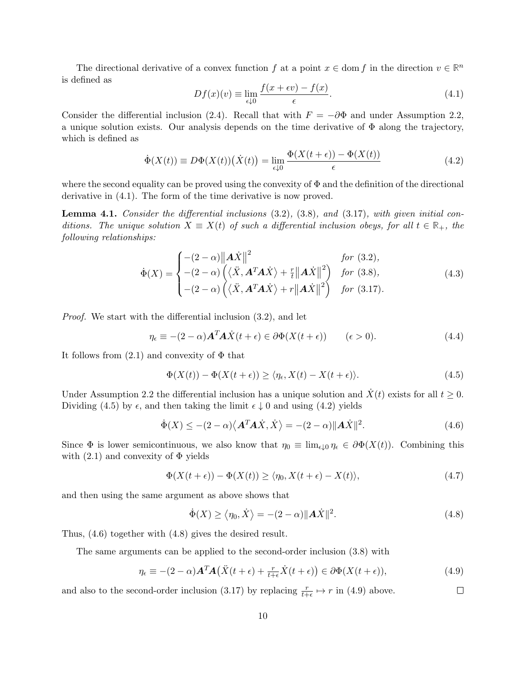The directional derivative of a convex function f at a point  $x \in \text{dom } f$  in the direction  $v \in \mathbb{R}^n$ is defined as

$$
Df(x)(v) \equiv \lim_{\epsilon \downarrow 0} \frac{f(x + \epsilon v) - f(x)}{\epsilon}.
$$
\n(4.1)

Consider the differential inclusion (2.4). Recall that with  $F = -\partial \Phi$  and under Assumption 2.2, a unique solution exists. Our analysis depends on the time derivative of  $\Phi$  along the trajectory, which is defined as

$$
\dot{\Phi}(X(t)) \equiv D\Phi(X(t))(\dot{X}(t)) = \lim_{\epsilon \downarrow 0} \frac{\Phi(X(t+\epsilon)) - \Phi(X(t))}{\epsilon} \tag{4.2}
$$

where the second equality can be proved using the convexity of  $\Phi$  and the definition of the directional derivative in (4.1). The form of the time derivative is now proved.

**Lemma 4.1.** Consider the differential inclusions  $(3.2)$ ,  $(3.8)$ , and  $(3.17)$ , with given initial conditions. The unique solution  $X \equiv X(t)$  of such a differential inclusion obeys, for all  $t \in \mathbb{R}_+$ , the following relationships:

$$
\dot{\Phi}(X) = \begin{cases}\n-(2-\alpha)\|\mathbf{A}\dot{X}\|^2 & \text{for (3.2)}, \\
-(2-\alpha)\left(\langle \ddot{X}, \mathbf{A}^T \mathbf{A} \dot{X} \rangle + \frac{r}{t} \|\mathbf{A}\dot{X}\|^2\right) & \text{for (3.8)}, \\
-(2-\alpha)\left(\langle \ddot{X}, \mathbf{A}^T \mathbf{A} \dot{X} \rangle + r \|\mathbf{A}\dot{X}\|^2\right) & \text{for (3.17)}.\n\end{cases}
$$
\n(4.3)

Proof. We start with the differential inclusion (3.2), and let

$$
\eta_{\epsilon} \equiv -(2-\alpha)\mathbf{A}^T \mathbf{A} \dot{X}(t+\epsilon) \in \partial \Phi(X(t+\epsilon)) \qquad (\epsilon > 0). \tag{4.4}
$$

It follows from  $(2.1)$  and convexity of  $\Phi$  that

$$
\Phi(X(t)) - \Phi(X(t+\epsilon)) \ge \langle \eta_{\epsilon}, X(t) - X(t+\epsilon) \rangle. \tag{4.5}
$$

Under Assumption 2.2 the differential inclusion has a unique solution and  $\dot{X}(t)$  exists for all  $t \geq 0$ . Dividing (4.5) by  $\epsilon$ , and then taking the limit  $\epsilon \downarrow 0$  and using (4.2) yields

$$
\dot{\Phi}(X) \le - (2 - \alpha) \langle \mathbf{A}^T \mathbf{A} \dot{X}, \dot{X} \rangle = - (2 - \alpha) ||\mathbf{A} \dot{X}||^2. \tag{4.6}
$$

Since  $\Phi$  is lower semicontinuous, we also know that  $\eta_0 \equiv \lim_{\epsilon \downarrow 0} \eta_{\epsilon} \in \partial \Phi(X(t))$ . Combining this with  $(2.1)$  and convexity of  $\Phi$  yields

$$
\Phi(X(t+\epsilon)) - \Phi(X(t)) \ge \langle \eta_0, X(t+\epsilon) - X(t) \rangle, \tag{4.7}
$$

and then using the same argument as above shows that

$$
\dot{\Phi}(X) \ge \langle \eta_0, \dot{X} \rangle = -(2 - \alpha) ||A\dot{X}||^2.
$$
\n(4.8)

Thus, (4.6) together with (4.8) gives the desired result.

The same arguments can be applied to the second-order inclusion (3.8) with

$$
\eta_{\epsilon} \equiv -(2-\alpha)\mathbf{A}^T \mathbf{A} (\ddot{X}(t+\epsilon) + \frac{r}{t+\epsilon} \dot{X}(t+\epsilon)) \in \partial \Phi(X(t+\epsilon)), \tag{4.9}
$$

and also to the second-order inclusion (3.17) by replacing  $\frac{r}{t+\epsilon} \mapsto r$  in (4.9) above.  $\Box$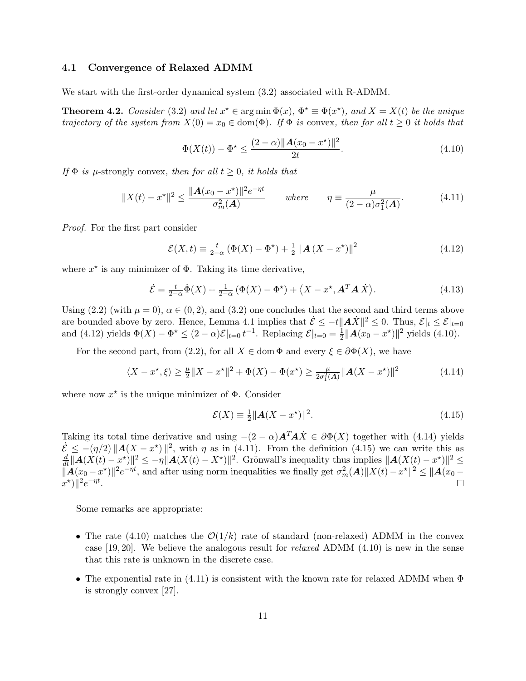#### 4.1 Convergence of Relaxed ADMM

We start with the first-order dynamical system (3.2) associated with R-ADMM.

**Theorem 4.2.** Consider (3.2) and let  $x^* \in \arg \min \Phi(x)$ ,  $\Phi^* \equiv \Phi(x^*)$ , and  $X = X(t)$  be the unique trajectory of the system from  $X(0) = x_0 \in \text{dom}(\Phi)$ . If  $\Phi$  is convex, then for all  $t \geq 0$  it holds that

$$
\Phi(X(t)) - \Phi^* \le \frac{(2-\alpha)\|A(x_0 - x^*)\|^2}{2t}.
$$
\n(4.10)

If  $\Phi$  is *µ*-strongly convex, then for all  $t > 0$ , it holds that

$$
||X(t) - x^*||^2 \le \frac{||A(x_0 - x^*)||^2 e^{-\eta t}}{\sigma_m^2(A)} \quad \text{where} \quad \eta = \frac{\mu}{(2 - \alpha)\sigma_1^2(A)}.
$$
 (4.11)

Proof. For the first part consider

$$
\mathcal{E}(X,t) \equiv \frac{t}{2-\alpha} \left( \Phi(X) - \Phi^{\star} \right) + \frac{1}{2} \left\| \mathbf{A} \left( X - x^{\star} \right) \right\|^2 \tag{4.12}
$$

where  $x^*$  is any minimizer of  $\Phi$ . Taking its time derivative,

$$
\dot{\mathcal{E}} = \frac{t}{2-\alpha} \dot{\Phi}(X) + \frac{1}{2-\alpha} \left( \Phi(X) - \Phi^{\star} \right) + \left\langle X - x^{\star}, \mathbf{A}^T \mathbf{A} \dot{X} \right\rangle.
$$
 (4.13)

Using (2.2) (with  $\mu = 0$ ),  $\alpha \in (0, 2)$ , and (3.2) one concludes that the second and third terms above are bounded above by zero. Hence, Lemma 4.1 implies that  $\mathcal{E} \le -t ||\mathbf{A}\dot{X}||^2 \le 0$ . Thus,  $\mathcal{E}|_t \le \mathcal{E}|_{t=0}$ and (4.12) yields  $\Phi(X) - \Phi^* \le (2 - \alpha) \mathcal{E}|_{t=0} t^{-1}$ . Replacing  $\mathcal{E}|_{t=0} = \frac{1}{2}$  $\frac{1}{2} ||A(x_0 - x^*)||^2$  yields (4.10).

For the second part, from (2.2), for all  $X \in \text{dom }\Phi$  and every  $\xi \in \partial \Phi(X)$ , we have

$$
\langle X - x^*, \xi \rangle \ge \frac{\mu}{2} \|X - x^*\|^2 + \Phi(X) - \Phi(x^*) \ge \frac{\mu}{2\sigma_1^2(A)} \|\mathbf{A}(X - x^*)\|^2 \tag{4.14}
$$

where now  $x^*$  is the unique minimizer of  $\Phi$ . Consider

$$
\mathcal{E}(X) \equiv \frac{1}{2} ||\mathbf{A}(X - x^*)||^2. \tag{4.15}
$$

Taking its total time derivative and using  $-(2 - \alpha)A^T A \dot{X} \in \partial \Phi(X)$  together with (4.14) yields  $\mathcal{E}_{\mathcal{I}} \leq -(\eta/2) ||\mathbf{A}(X - x^*)||^2$ , with  $\eta$  as in (4.11). From the definition (4.15) we can write this as  $\frac{d}{dt} ||\mathbf{A}(X(t)-x^*)||^2 \leq -\eta ||\mathbf{A}(X(t)-X^*)||^2$ . Grönwall's inequality thus implies  $||\mathbf{A}(X(t)-x^*)||^2 \leq$  $\|\vec{A}(x_0 - x^*)\|^2 e^{-\eta t}$ , and after using norm inequalities we finally get  $\sigma_m^2(\vec{A}) \|X(t) - x^*\|^2 \leq \|\vec{A}(x_0 - x^*)\|^2$  $x^{\star}\big)\|^{2}e^{-\eta t}.$ 

Some remarks are appropriate:

- The rate (4.10) matches the  $\mathcal{O}(1/k)$  rate of standard (non-relaxed) ADMM in the convex case  $[19, 20]$ . We believe the analogous result for *relaxed* ADMM  $(4.10)$  is new in the sense that this rate is unknown in the discrete case.
- The exponential rate in (4.11) is consistent with the known rate for relaxed ADMM when  $\Phi$ is strongly convex [27].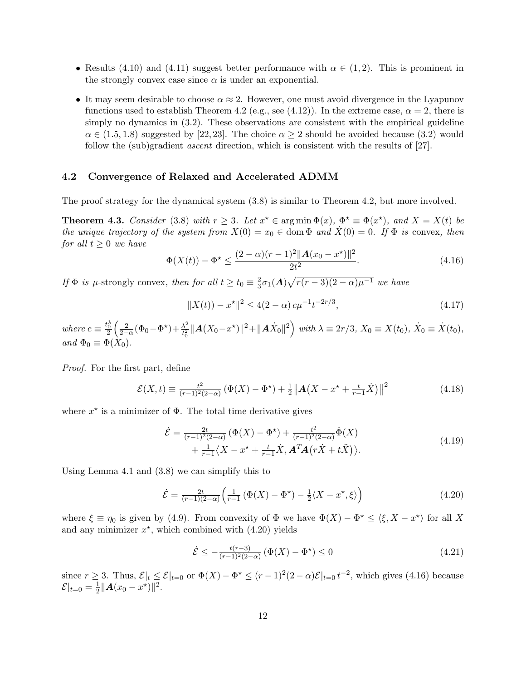- Results (4.10) and (4.11) suggest better performance with  $\alpha \in (1,2)$ . This is prominent in the strongly convex case since  $\alpha$  is under an exponential.
- It may seem desirable to choose  $\alpha \approx 2$ . However, one must avoid divergence in the Lyapunov functions used to establish Theorem 4.2 (e.g., see (4.12)). In the extreme case,  $\alpha = 2$ , there is simply no dynamics in  $(3.2)$ . These observations are consistent with the empirical guideline  $\alpha \in (1.5, 1.8)$  suggested by [22, 23]. The choice  $\alpha \geq 2$  should be avoided because (3.2) would follow the (sub)gradient ascent direction, which is consistent with the results of [27].

# 4.2 Convergence of Relaxed and Accelerated ADMM

The proof strategy for the dynamical system (3.8) is similar to Theorem 4.2, but more involved.

**Theorem 4.3.** Consider (3.8) with  $r \geq 3$ . Let  $x^* \in \arg \min \Phi(x)$ ,  $\Phi^* \equiv \Phi(x^*)$ , and  $X = X(t)$  be the unique trajectory of the system from  $X(0) = x_0 \in \text{dom }\Phi$  and  $\dot{X}(0) = 0$ . If  $\Phi$  is convex, then for all  $t \geq 0$  we have

$$
\Phi(X(t)) - \Phi^* \le \frac{(2-\alpha)(r-1)^2 ||\mathbf{A}(x_0 - x^*)||^2}{2t^2}.
$$
\n(4.16)

If  $\Phi$  is  $\mu$ -strongly convex, then for all  $t \ge t_0 \equiv \frac{2}{3}$  $\frac{2}{3}\sigma_1(A)\sqrt{r(r-3)(2-\alpha)\mu^{-1}}$  we have

$$
||X(t)) - x^*||^2 \le 4(2 - \alpha) c \mu^{-1} t^{-2r/3},
$$
\n(4.17)

where  $c \equiv \frac{t_0^{\lambda}}{2}$  $\begin{pmatrix} 2 \end{pmatrix}$  $\frac{2}{2-\alpha}(\Phi_0 - \Phi^{\star}) + \frac{\lambda^2}{t_0^2}$  $\frac{\lambda^2}{t_0^2} ||\mathbf{A}(X_0 - x^*)||^2 + ||\mathbf{A}\dot{X}_0||^2 \Big)$  with  $\lambda \equiv 2r/3$ ,  $X_0 \equiv X(t_0)$ ,  $\dot{X}_0 \equiv \dot{X}(t_0)$ , and  $\Phi_0 \equiv \Phi(X_0)$ .

Proof. For the first part, define

$$
\mathcal{E}(X,t) \equiv \frac{t^2}{(r-1)^2(2-\alpha)} \left( \Phi(X) - \Phi^{\star} \right) + \frac{1}{2} \left\| \mathbf{A} \left( X - x^{\star} + \frac{t}{r-1} \dot{X} \right) \right\|^2 \tag{4.18}
$$

where  $x^*$  is a minimizer of  $\Phi$ . The total time derivative gives

$$
\dot{\mathcal{E}} = \frac{2t}{(r-1)^2(2-\alpha)} \left( \Phi(X) - \Phi^{\star} \right) + \frac{t^2}{(r-1)^2(2-\alpha)} \dot{\Phi}(X) + \frac{1}{r-1} \langle X - x^{\star} + \frac{t}{r-1} \dot{X}, \mathbf{A}^T \mathbf{A} \left( r \dot{X} + t \ddot{X} \right) \rangle.
$$
(4.19)

Using Lemma 4.1 and (3.8) we can simplify this to

$$
\dot{\mathcal{E}} = \frac{2t}{(r-1)(2-\alpha)} \left( \frac{1}{r-1} \left( \Phi(X) - \Phi^{\star} \right) - \frac{1}{2} \langle X - x^{\star}, \xi \rangle \right) \tag{4.20}
$$

where  $\xi \equiv \eta_0$  is given by (4.9). From convexity of  $\Phi$  we have  $\Phi(X) - \Phi^* \leq \langle \xi, X - x^* \rangle$  for all X and any minimizer  $x^*$ , which combined with  $(4.20)$  yields

$$
\dot{\mathcal{E}} \le -\frac{t(r-3)}{(r-1)^2(2-\alpha)} \left( \Phi(X) - \Phi^{\star} \right) \le 0 \tag{4.21}
$$

since  $r \geq 3$ . Thus,  $\mathcal{E}|_{t} \leq \mathcal{E}|_{t=0}$  or  $\Phi(X) - \Phi^* \leq (r-1)^2(2-\alpha)\mathcal{E}|_{t=0}$   $t^{-2}$ , which gives (4.16) because  $\mathcal{E}|_{t=0} = \frac{1}{2}$  $\frac{1}{2} ||A(x_0 - x^*)||^2.$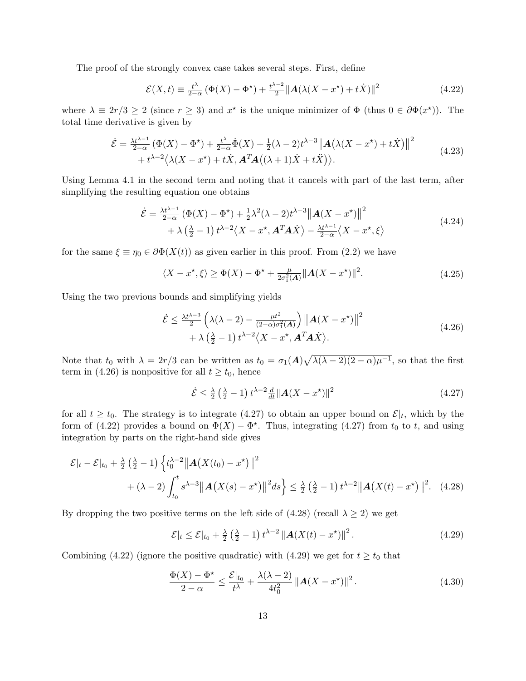The proof of the strongly convex case takes several steps. First, define

$$
\mathcal{E}(X,t) \equiv \frac{t^{\lambda}}{2-\alpha} \left( \Phi(X) - \Phi^{\star} \right) + \frac{t^{\lambda - 2}}{2} \| \mathbf{A} (\lambda (X - x^{\star}) + t\dot{X}) \|^{2}
$$
(4.22)

where  $\lambda \equiv 2r/3 \ge 2$  (since  $r \ge 3$ ) and  $x^*$  is the unique minimizer of  $\Phi$  (thus  $0 \in \partial \Phi(x^*)$ ). The total time derivative is given by

$$
\dot{\mathcal{E}} = \frac{\lambda t^{\lambda - 1}}{2 - \alpha} \left( \Phi(X) - \Phi^{\star} \right) + \frac{t^{\lambda}}{2 - \alpha} \dot{\Phi}(X) + \frac{1}{2} (\lambda - 2) t^{\lambda - 3} ||\mathbf{A} (\lambda (X - x^{\star}) + t \dot{X})||^2 + t^{\lambda - 2} \langle \lambda (X - x^{\star}) + t \dot{X}, \mathbf{A}^T \mathbf{A} ((\lambda + 1) \dot{X} + t \ddot{X}) \rangle.
$$
\n(4.23)

Using Lemma 4.1 in the second term and noting that it cancels with part of the last term, after simplifying the resulting equation one obtains

$$
\dot{\mathcal{E}} = \frac{\lambda t^{\lambda - 1}}{2 - \alpha} \left( \Phi(X) - \Phi^{\star} \right) + \frac{1}{2} \lambda^2 (\lambda - 2) t^{\lambda - 3} ||\mathbf{A}(X - x^{\star})||^2 \n+ \lambda \left( \frac{\lambda}{2} - 1 \right) t^{\lambda - 2} \langle X - x^{\star}, \mathbf{A}^T \mathbf{A} \dot{X} \rangle - \frac{\lambda t^{\lambda - 1}}{2 - \alpha} \langle X - x^{\star}, \xi \rangle
$$
\n(4.24)

for the same  $\xi \equiv \eta_0 \in \partial \Phi(X(t))$  as given earlier in this proof. From (2.2) we have

$$
\langle X - x^*, \xi \rangle \ge \Phi(X) - \Phi^* + \frac{\mu}{2\sigma_1^2(A)} ||A(X - x^*)||^2.
$$
 (4.25)

Using the two previous bounds and simplifying yields

$$
\dot{\mathcal{E}} \leq \frac{\lambda t^{\lambda-3}}{2} \left( \lambda(\lambda - 2) - \frac{\mu t^2}{(2-\alpha)\sigma_1^2(A)} \right) ||\mathbf{A}(X - x^*)||^2 + \lambda \left( \frac{\lambda}{2} - 1 \right) t^{\lambda - 2} \langle X - x^*, \mathbf{A}^T \mathbf{A} \dot{X} \rangle.
$$
\n(4.26)

Note that  $t_0$  with  $\lambda = 2r/3$  can be written as  $t_0 = \sigma_1(A)\sqrt{\lambda(\lambda - 2)(2 - \alpha)\mu^{-1}}$ , so that the first term in (4.26) is nonpositive for all  $t \ge t_0$ , hence

$$
\dot{\mathcal{E}} \le \frac{\lambda}{2} \left(\frac{\lambda}{2} - 1\right) t^{\lambda - 2} \frac{d}{dt} ||\mathbf{A}(X - x^*)||^2 \tag{4.27}
$$

for all  $t \geq t_0$ . The strategy is to integrate (4.27) to obtain an upper bound on  $\mathcal{E}|_t$ , which by the form of (4.22) provides a bound on  $\Phi(X) - \Phi^*$ . Thus, integrating (4.27) from  $t_0$  to  $t$ , and using integration by parts on the right-hand side gives

$$
\mathcal{E}|_{t} - \mathcal{E}|_{t_{0}} + \frac{\lambda}{2} \left(\frac{\lambda}{2} - 1\right) \left\{ t_{0}^{\lambda - 2} \left\| \mathbf{A}\left(X(t_{0}) - x^{\star}\right) \right\|^{2} + (\lambda - 2) \int_{t_{0}}^{t} s^{\lambda - 3} \left\| \mathbf{A}\left(X(s) - x^{\star}\right) \right\|^{2} ds \right\} \leq \frac{\lambda}{2} \left(\frac{\lambda}{2} - 1\right) t^{\lambda - 2} \left\| \mathbf{A}\left(X(t) - x^{\star}\right) \right\|^{2}.
$$
 (4.28)

By dropping the two positive terms on the left side of  $(4.28)$  (recall  $\lambda \geq 2$ ) we get

$$
\mathcal{E}|_{t} \leq \mathcal{E}|_{t_0} + \frac{\lambda}{2} \left(\frac{\lambda}{2} - 1\right) t^{\lambda - 2} \left\| \mathbf{A}(X(t) - x^*) \right\|^2. \tag{4.29}
$$

Combining (4.22) (ignore the positive quadratic) with (4.29) we get for  $t \ge t_0$  that

$$
\frac{\Phi(X) - \Phi^{\star}}{2 - \alpha} \le \frac{\mathcal{E}|_{t_0}}{t^{\lambda}} + \frac{\lambda(\lambda - 2)}{4t_0^2} \|A(X - x^{\star})\|^2.
$$
\n(4.30)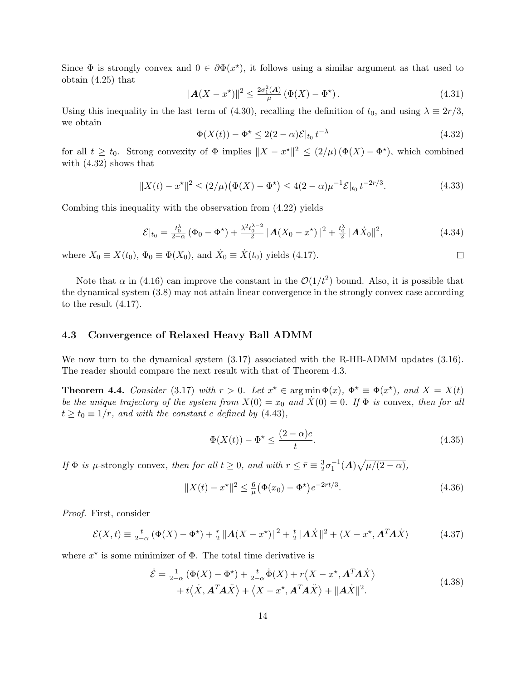Since  $\Phi$  is strongly convex and  $0 \in \partial \Phi(x^*)$ , it follows using a similar argument as that used to obtain (4.25) that

$$
\|\mathbf{A}(X - x^*)\|^2 \le \frac{2\sigma_1^2(\mathbf{A})}{\mu} \left(\Phi(X) - \Phi^*\right). \tag{4.31}
$$

Using this inequality in the last term of (4.30), recalling the definition of  $t_0$ , and using  $\lambda \equiv 2r/3$ , we obtain

$$
\Phi(X(t)) - \Phi^* \le 2(2 - \alpha)\mathcal{E}|_{t_0} t^{-\lambda} \tag{4.32}
$$

 $\Box$ 

for all  $t \geq t_0$ . Strong convexity of  $\Phi$  implies  $||X - x^*||^2 \leq (2/\mu) (\Phi(X) - \Phi^*)$ , which combined with (4.32) shows that

$$
||X(t) - x^*||^2 \le (2/\mu) (\Phi(X) - \Phi^*) \le 4(2 - \alpha)\mu^{-1} \mathcal{E}|_{t_0} t^{-2r/3}.
$$
 (4.33)

Combing this inequality with the observation from (4.22) yields

$$
\mathcal{E}|_{t_0} = \frac{t_0^{\lambda}}{2-\alpha} \left( \Phi_0 - \Phi^{\star} \right) + \frac{\lambda^2 t_0^{\lambda - 2}}{2} \| \mathbf{A}(X_0 - x^{\star}) \|^2 + \frac{t_0^{\lambda}}{2} \| \mathbf{A} \dot{X}_0 \|^2, \tag{4.34}
$$

where  $X_0 \equiv X(t_0)$ ,  $\Phi_0 \equiv \Phi(X_0)$ , and  $\dot{X}_0 \equiv \dot{X}(t_0)$  yields (4.17).

Note that  $\alpha$  in (4.16) can improve the constant in the  $\mathcal{O}(1/t^2)$  bound. Also, it is possible that the dynamical system (3.8) may not attain linear convergence in the strongly convex case according to the result (4.17).

# 4.3 Convergence of Relaxed Heavy Ball ADMM

We now turn to the dynamical system  $(3.17)$  associated with the R-HB-ADMM updates  $(3.16)$ . The reader should compare the next result with that of Theorem 4.3.

**Theorem 4.4.** Consider (3.17) with  $r > 0$ . Let  $x^* \in \arg\min_{x \in \mathcal{X}} \Phi(x)$ ,  $\Phi^* \equiv \Phi(x^*)$ , and  $X = X(t)$ be the unique trajectory of the system from  $X(0) = x_0$  and  $\dot{X}(0) = 0$ . If  $\Phi$  is convex, then for all  $t \ge t_0 \equiv 1/r$ , and with the constant c defined by (4.43),

$$
\Phi(X(t)) - \Phi^* \le \frac{(2-\alpha)c}{t}.\tag{4.35}
$$

If  $\Phi$  is  $\mu$ -strongly convex, then for all  $t \geq 0$ , and with  $r \leq \bar{r} \equiv \frac{3}{2}$  $\frac{3}{2}\sigma_1^{-1}(A)\sqrt{\mu/(2-\alpha)},$ 

$$
||X(t) - x^*||^2 \le \frac{6}{\mu} \left(\Phi(x_0) - \Phi^*\right) e^{-2rt/3}.
$$
\n(4.36)

Proof. First, consider

$$
\mathcal{E}(X,t) \equiv \frac{t}{2-\alpha} \left( \Phi(X) - \Phi^{\star} \right) + \frac{r}{2} \left\| \mathbf{A}(X - x^{\star}) \right\|^2 + \frac{t}{2} \left\| \mathbf{A}\dot{X} \right\|^2 + \left\langle X - x^{\star}, \mathbf{A}^T \mathbf{A} \dot{X} \right\rangle \tag{4.37}
$$

where  $x^*$  is some minimizer of  $\Phi$ . The total time derivative is

$$
\dot{\mathcal{E}} = \frac{1}{2-\alpha} \left( \Phi(X) - \Phi^{\star} \right) + \frac{t}{2-\alpha} \dot{\Phi}(X) + r \langle X - x^{\star}, \mathbf{A}^T \mathbf{A} \dot{X} \rangle + t \langle \dot{X}, \mathbf{A}^T \mathbf{A} \ddot{X} \rangle + \langle X - x^{\star}, \mathbf{A}^T \mathbf{A} \ddot{X} \rangle + ||\mathbf{A} \dot{X}||^2.
$$
\n(4.38)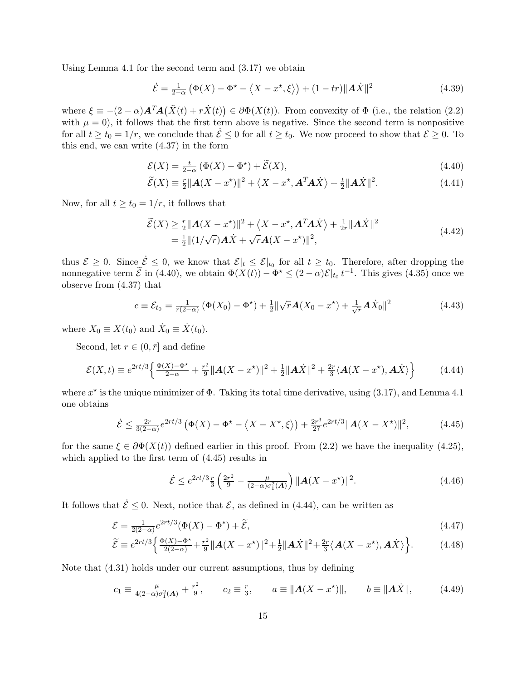Using Lemma 4.1 for the second term and (3.17) we obtain

$$
\dot{\mathcal{E}} = \frac{1}{2-\alpha} \left( \Phi(X) - \Phi^* - \langle X - x^*, \xi \rangle \right) + (1 - tr) \|\mathbf{A}\dot{X}\|^2 \tag{4.39}
$$

where  $\xi \equiv -(2-\alpha)\mathbf{A}^T\mathbf{A}(\ddot{X}(t)+r\dot{X}(t)) \in \partial \Phi(X(t))$ . From convexity of  $\Phi$  (i.e., the relation (2.2) with  $\mu = 0$ ), it follows that the first term above is negative. Since the second term is nonpositive for all  $t \ge t_0 = 1/r$ , we conclude that  $\dot{\mathcal{E}} \le 0$  for all  $t \ge t_0$ . We now proceed to show that  $\mathcal{E} \ge 0$ . To this end, we can write (4.37) in the form

$$
\mathcal{E}(X) = \frac{t}{2-\alpha} \left( \Phi(X) - \Phi^{\star} \right) + \widetilde{\mathcal{E}}(X),\tag{4.40}
$$

$$
\widetilde{\mathcal{E}}(X) \equiv \frac{r}{2} ||\mathbf{A}(X - x^*)||^2 + \langle X - x^*, \mathbf{A}^T \mathbf{A} \dot{X} \rangle + \frac{t}{2} ||\mathbf{A}\dot{X}||^2. \tag{4.41}
$$

Now, for all  $t \ge t_0 = 1/r$ , it follows that

$$
\widetilde{\mathcal{E}}(X) \ge \frac{r}{2} ||\mathbf{A}(X - x^*)||^2 + \langle X - x^*, \mathbf{A}^T \mathbf{A} \dot{X} \rangle + \frac{1}{2r} ||\mathbf{A} \dot{X}||^2
$$
\n
$$
= \frac{1}{2} ||(1/\sqrt{r}) \mathbf{A} \dot{X} + \sqrt{r} \mathbf{A}(X - x^*)||^2,\tag{4.42}
$$

thus  $\mathcal{E} \geq 0$ . Since  $\mathcal{E} \leq 0$ , we know that  $\mathcal{E}|_t \leq \mathcal{E}|_{t_0}$  for all  $t \geq t_0$ . Therefore, after dropping the nonnegative term  $\tilde{\mathcal{E}}$  in (4.40), we obtain  $\Phi(X(t)) - \Phi^* \leq (2 - \alpha)\mathcal{E}|_{t_0} t^{-1}$ . This gives (4.35) once we observe from (4.37) that

$$
c \equiv \mathcal{E}_{t_0} = \frac{1}{r(2-\alpha)} \left( \Phi(X_0) - \Phi^{\star} \right) + \frac{1}{2} \|\sqrt{r} \mathbf{A}(X_0 - x^{\star}) + \frac{1}{\sqrt{r}} \mathbf{A} \dot{X}_0 \|^2 \tag{4.43}
$$

where  $X_0 \equiv X(t_0)$  and  $\dot{X}_0 \equiv \dot{X}(t_0)$ .

Second, let  $r \in (0, \bar{r}]$  and define

$$
\mathcal{E}(X,t) \equiv e^{2rt/3} \left\{ \frac{\Phi(X) - \Phi^{\star}}{2 - \alpha} + \frac{r^2}{9} ||\mathbf{A}(X - x^{\star})||^2 + \frac{1}{2} ||\mathbf{A}\dot{X}||^2 + \frac{2r}{3} \langle \mathbf{A}(X - x^{\star}), \mathbf{A}\dot{X} \rangle \right\}
$$
(4.44)

where  $x^*$  is the unique minimizer of  $\Phi$ . Taking its total time derivative, using (3.17), and Lemma 4.1 one obtains

$$
\dot{\mathcal{E}} \le \frac{2r}{3(2-\alpha)} e^{2rt/3} \left( \Phi(X) - \Phi^* - \langle X - X^*, \xi \rangle \right) + \frac{2r^3}{27} e^{2rt/3} ||\mathbf{A}(X - X^*)||^2, \tag{4.45}
$$

for the same  $\xi \in \partial \Phi(X(t))$  defined earlier in this proof. From (2.2) we have the inequality (4.25), which applied to the first term of (4.45) results in

$$
\dot{\mathcal{E}} \le e^{2rt/3} \frac{r}{3} \left( \frac{2r^2}{9} - \frac{\mu}{(2-\alpha)\sigma_1^2(\mathbf{A})} \right) ||\mathbf{A}(X - x^*)||^2. \tag{4.46}
$$

It follows that  $\dot{\mathcal{E}} \leq 0$ . Next, notice that  $\mathcal{E}$ , as defined in (4.44), can be written as

$$
\mathcal{E} = \frac{1}{2(2-\alpha)} e^{2rt/3} (\Phi(X) - \Phi^*) + \widetilde{\mathcal{E}}, \tag{4.47}
$$

$$
\widetilde{\mathcal{E}} \equiv e^{2rt/3} \left\{ \frac{\Phi(X) - \Phi^{\star}}{2(2-\alpha)} + \frac{r^2}{9} \| \mathbf{A}(X - x^{\star}) \|^2 + \frac{1}{2} \| \mathbf{A}\dot{X} \|^2 + \frac{2r}{3} \langle \mathbf{A}(X - x^{\star}), \mathbf{A}\dot{X} \rangle \right\}.
$$
 (4.48)

Note that (4.31) holds under our current assumptions, thus by defining

$$
c_1 \equiv \frac{\mu}{4(2-\alpha)\sigma_1^2(A)} + \frac{r^2}{9}, \qquad c_2 \equiv \frac{r}{3}, \qquad a \equiv \|A(X - x^*)\|, \qquad b \equiv \|A\dot{X}\|,\tag{4.49}
$$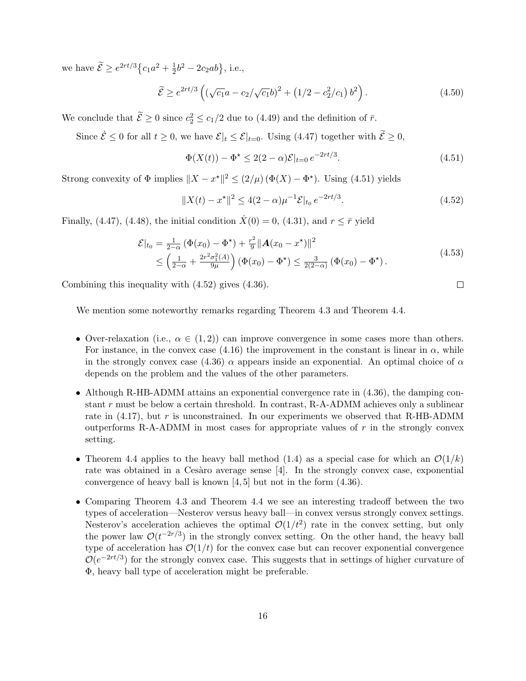we have  $\widetilde{\mathcal{E}} \geq e^{2rt/3} \left\{ c_1 a^2 + \frac{1}{2} \right\}$  $\frac{1}{2}b^2 - 2c_2ab\}, \text{ i.e.,}$ 

$$
\widetilde{\mathcal{E}} \ge e^{2rt/3} \left( \left( \sqrt{c_1} a - c_2 / \sqrt{c_1} b \right)^2 + \left( 1/2 - c_2^2 / c_1 \right) b^2 \right). \tag{4.50}
$$

We conclude that  $\mathcal{E} \ge 0$  since  $c_2^2 \le c_1/2$  due to (4.49) and the definition of  $\bar{r}$ .

Since  $\dot{\mathcal{E}} \leq 0$  for all  $t \geq 0$ , we have  $\mathcal{E}|_{t} \leq \mathcal{E}|_{t=0}$ . Using (4.47) together with  $\widetilde{\mathcal{E}} \geq 0$ ,

$$
\Phi(X(t)) - \Phi^* \le 2(2 - \alpha)\mathcal{E}|_{t=0} e^{-2rt/3}.\tag{4.51}
$$

Strong convexity of  $\Phi$  implies  $||X - x^*||^2 \le (2/\mu) (\Phi(X) - \Phi^*)$ . Using (4.51) yields

$$
||X(t) - x^*||^2 \le 4(2 - \alpha)\mu^{-1} \mathcal{E}|_{t_0} e^{-2rt/3}.
$$
\n(4.52)

Finally, (4.47), (4.48), the initial condition  $\dot{X}(0) = 0$ , (4.31), and  $r \leq \bar{r}$  yield

$$
\mathcal{E}|_{t_0} = \frac{1}{2-\alpha} \left( \Phi(x_0) - \Phi^{\star} \right) + \frac{r^2}{9} \| \mathbf{A}(x_0 - x^{\star}) \|^2
$$
\n
$$
\leq \left( \frac{1}{2-\alpha} + \frac{2r^2 \sigma_1^2(A)}{9\mu} \right) \left( \Phi(x_0) - \Phi^{\star} \right) \leq \frac{3}{2(2-\alpha)} \left( \Phi(x_0) - \Phi^{\star} \right). \tag{4.53}
$$

Combining this inequality with (4.52) gives (4.36).

We mention some noteworthy remarks regarding Theorem 4.3 and Theorem 4.4.

- Over-relaxation (i.e.,  $\alpha \in (1,2)$ ) can improve convergence in some cases more than others. For instance, in the convex case (4.16) the improvement in the constant is linear in  $\alpha$ , while in the strongly convex case (4.36)  $\alpha$  appears inside an exponential. An optimal choice of  $\alpha$ depends on the problem and the values of the other parameters.
- Although R-HB-ADMM attains an exponential convergence rate in  $(4.36)$ , the damping constant r must be below a certain threshold. In contrast, R-A-ADMM achieves only a sublinear rate in  $(4.17)$ , but r is unconstrained. In our experiments we observed that R-HB-ADMM outperforms R-A-ADMM in most cases for appropriate values of  $r$  in the strongly convex setting.
- Theorem 4.4 applies to the heavy ball method (1.4) as a special case for which an  $\mathcal{O}(1/k)$ rate was obtained in a Cesàro average sense  $[4]$ . In the strongly convex case, exponential convergence of heavy ball is known [4, 5] but not in the form (4.36).
- Comparing Theorem 4.3 and Theorem 4.4 we see an interesting tradeoff between the two types of acceleration—Nesterov versus heavy ball—in convex versus strongly convex settings. Nesterov's acceleration achieves the optimal  $\mathcal{O}(1/t^2)$  rate in the convex setting, but only the power law  $\mathcal{O}(t^{-2r/3})$  in the strongly convex setting. On the other hand, the heavy ball type of acceleration has  $\mathcal{O}(1/t)$  for the convex case but can recover exponential convergence  $\mathcal{O}(e^{-2rt/3})$  for the strongly convex case. This suggests that in settings of higher curvature of Φ, heavy ball type of acceleration might be preferable.

 $\Box$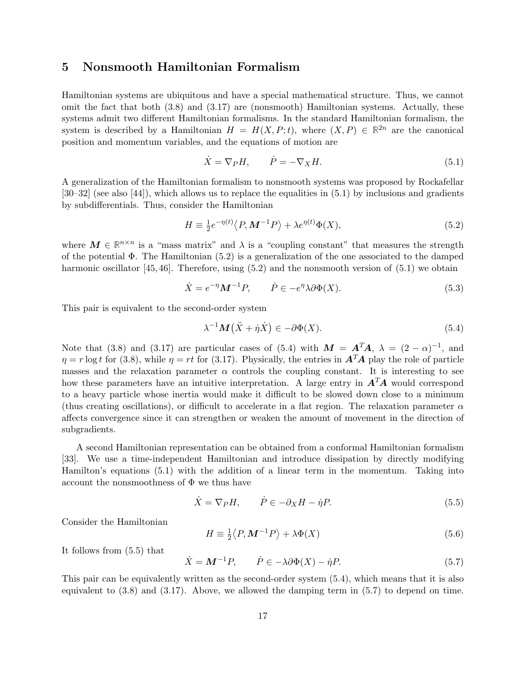# 5 Nonsmooth Hamiltonian Formalism

Hamiltonian systems are ubiquitous and have a special mathematical structure. Thus, we cannot omit the fact that both (3.8) and (3.17) are (nonsmooth) Hamiltonian systems. Actually, these systems admit two different Hamiltonian formalisms. In the standard Hamiltonian formalism, the system is described by a Hamiltonian  $H = H(X, P; t)$ , where  $(X, P) \in \mathbb{R}^{2n}$  are the canonical position and momentum variables, and the equations of motion are

$$
\dot{X} = \nabla_P H, \qquad \dot{P} = -\nabla_X H. \tag{5.1}
$$

A generalization of the Hamiltonian formalism to nonsmooth systems was proposed by Rockafellar [30–32] (see also [44]), which allows us to replace the equalities in (5.1) by inclusions and gradients by subdifferentials. Thus, consider the Hamiltonian

$$
H \equiv \frac{1}{2} e^{-\eta(t)} \langle P, \mathbf{M}^{-1} P \rangle + \lambda e^{\eta(t)} \Phi(X), \tag{5.2}
$$

where  $M \in \mathbb{R}^{n \times n}$  is a "mass matrix" and  $\lambda$  is a "coupling constant" that measures the strength of the potential Φ. The Hamiltonian (5.2) is a generalization of the one associated to the damped harmonic oscillator [45, 46]. Therefore, using (5.2) and the nonsmooth version of (5.1) we obtain

$$
\dot{X} = e^{-\eta} M^{-1} P, \qquad \dot{P} \in -e^{\eta} \lambda \partial \Phi(X). \tag{5.3}
$$

This pair is equivalent to the second-order system

$$
\lambda^{-1}M(\ddot{X} + \dot{\eta}\dot{X}) \in -\partial\Phi(X). \tag{5.4}
$$

Note that (3.8) and (3.17) are particular cases of (5.4) with  $M = A<sup>T</sup>A$ ,  $\lambda = (2 - \alpha)^{-1}$ , and  $\eta = r \log t$  for (3.8), while  $\eta = rt$  for (3.17). Physically, the entries in  $\mathbf{A}^T \mathbf{A}$  play the role of particle masses and the relaxation parameter  $\alpha$  controls the coupling constant. It is interesting to see how these parameters have an intuitive interpretation. A large entry in  $A<sup>T</sup>A$  would correspond to a heavy particle whose inertia would make it difficult to be slowed down close to a minimum (thus creating oscillations), or difficult to accelerate in a flat region. The relaxation parameter  $\alpha$ affects convergence since it can strengthen or weaken the amount of movement in the direction of subgradients.

A second Hamiltonian representation can be obtained from a conformal Hamiltonian formalism [33]. We use a time-independent Hamiltonian and introduce dissipation by directly modifying Hamilton's equations (5.1) with the addition of a linear term in the momentum. Taking into account the nonsmoothness of  $\Phi$  we thus have

$$
\dot{X} = \nabla_P H, \qquad \dot{P} \in -\partial_X H - \dot{\eta} P. \tag{5.5}
$$

Consider the Hamiltonian

$$
H \equiv \frac{1}{2} \langle P, \mathbf{M}^{-1} P \rangle + \lambda \Phi(X) \tag{5.6}
$$

It follows from (5.5) that

$$
\dot{X} = \mathbf{M}^{-1}P, \qquad \dot{P} \in -\lambda \partial \Phi(X) - \dot{\eta}P. \tag{5.7}
$$

This pair can be equivalently written as the second-order system (5.4), which means that it is also equivalent to (3.8) and (3.17). Above, we allowed the damping term in (5.7) to depend on time.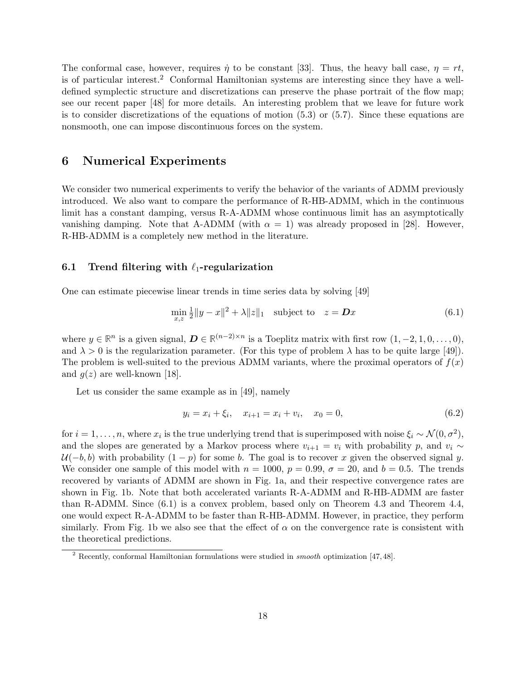The conformal case, however, requires  $\dot{\eta}$  to be constant [33]. Thus, the heavy ball case,  $\eta = rt$ , is of particular interest.<sup>2</sup> Conformal Hamiltonian systems are interesting since they have a welldefined symplectic structure and discretizations can preserve the phase portrait of the flow map; see our recent paper [48] for more details. An interesting problem that we leave for future work is to consider discretizations of the equations of motion (5.3) or (5.7). Since these equations are nonsmooth, one can impose discontinuous forces on the system.

# 6 Numerical Experiments

We consider two numerical experiments to verify the behavior of the variants of ADMM previously introduced. We also want to compare the performance of R-HB-ADMM, which in the continuous limit has a constant damping, versus R-A-ADMM whose continuous limit has an asymptotically vanishing damping. Note that A-ADMM (with  $\alpha = 1$ ) was already proposed in [28]. However, R-HB-ADMM is a completely new method in the literature.

# 6.1 Trend filtering with  $\ell_1$ -regularization

One can estimate piecewise linear trends in time series data by solving [49]

$$
\min_{x,z} \frac{1}{2} \|y - x\|^2 + \lambda \|z\|_1 \quad \text{subject to} \quad z = \mathbf{D}x \tag{6.1}
$$

where  $y \in \mathbb{R}^n$  is a given signal,  $\mathbf{D} \in \mathbb{R}^{(n-2)\times n}$  is a Toeplitz matrix with first row  $(1, -2, 1, 0, \ldots, 0)$ , and  $\lambda > 0$  is the regularization parameter. (For this type of problem  $\lambda$  has to be quite large [49]). The problem is well-suited to the previous ADMM variants, where the proximal operators of  $f(x)$ and  $q(z)$  are well-known [18].

Let us consider the same example as in [49], namely

$$
y_i = x_i + \xi_i, \quad x_{i+1} = x_i + v_i, \quad x_0 = 0,
$$
\n
$$
(6.2)
$$

for  $i = 1, \ldots, n$ , where  $x_i$  is the true underlying trend that is superimposed with noise  $\xi_i \sim \mathcal{N}(0, \sigma^2)$ , and the slopes are generated by a Markov process where  $v_{i+1} = v_i$  with probability p, and  $v_i \sim$  $U(-b, b)$  with probability  $(1 - p)$  for some b. The goal is to recover x given the observed signal y. We consider one sample of this model with  $n = 1000$ ,  $p = 0.99$ ,  $\sigma = 20$ , and  $b = 0.5$ . The trends recovered by variants of ADMM are shown in Fig. 1a, and their respective convergence rates are shown in Fig. 1b. Note that both accelerated variants R-A-ADMM and R-HB-ADMM are faster than R-ADMM. Since (6.1) is a convex problem, based only on Theorem 4.3 and Theorem 4.4, one would expect R-A-ADMM to be faster than R-HB-ADMM. However, in practice, they perform similarly. From Fig. 1b we also see that the effect of  $\alpha$  on the convergence rate is consistent with the theoretical predictions.

<sup>2</sup> Recently, conformal Hamiltonian formulations were studied in smooth optimization [47, 48].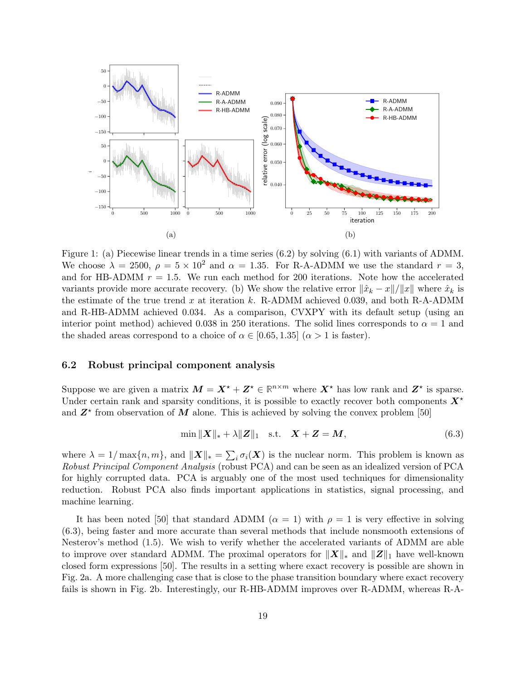

Figure 1: (a) Piecewise linear trends in a time series (6.2) by solving (6.1) with variants of ADMM. We choose  $\lambda = 2500$ ,  $\rho = 5 \times 10^2$  and  $\alpha = 1.35$ . For R-A-ADMM we use the standard  $r = 3$ , and for HB-ADMM  $r = 1.5$ . We run each method for 200 iterations. Note how the accelerated variants provide more accurate recovery. (b) We show the relative error  $\|\hat{x}_k - x\|/\|x\|$  where  $\hat{x}_k$  is the estimate of the true trend x at iteration k. R-ADMM achieved 0.039, and both R-A-ADMM and R-HB-ADMM achieved 0.034. As a comparison, CVXPY with its default setup (using an interior point method) achieved 0.038 in 250 iterations. The solid lines corresponds to  $\alpha = 1$  and the shaded areas correspond to a choice of  $\alpha \in [0.65, 1.35]$  ( $\alpha > 1$  is faster).

#### 6.2 Robust principal component analysis

Suppose we are given a matrix  $M = X^* + Z^* \in \mathbb{R}^{n \times m}$  where  $X^*$  has low rank and  $Z^*$  is sparse. Under certain rank and sparsity conditions, it is possible to exactly recover both components  $X^*$ and  $Z^*$  from observation of M alone. This is achieved by solving the convex problem [50]

$$
\min \|X\|_{*} + \lambda \|Z\|_{1} \quad \text{s.t.} \quad X + Z = M,
$$
\n(6.3)

where  $\lambda = 1/\max\{n, m\}$ , and  $\|\mathbf{X}\|_* = \sum_i \sigma_i(\mathbf{X})$  is the nuclear norm. This problem is known as Robust Principal Component Analysis (robust PCA) and can be seen as an idealized version of PCA for highly corrupted data. PCA is arguably one of the most used techniques for dimensionality reduction. Robust PCA also finds important applications in statistics, signal processing, and machine learning.

It has been noted [50] that standard ADMM ( $\alpha = 1$ ) with  $\rho = 1$  is very effective in solving (6.3), being faster and more accurate than several methods that include nonsmooth extensions of Nesterov's method (1.5). We wish to verify whether the accelerated variants of ADMM are able to improve over standard ADMM. The proximal operators for  $||X||_*$  and  $||Z||_1$  have well-known closed form expressions [50]. The results in a setting where exact recovery is possible are shown in Fig. 2a. A more challenging case that is close to the phase transition boundary where exact recovery fails is shown in Fig. 2b. Interestingly, our R-HB-ADMM improves over R-ADMM, whereas R-A-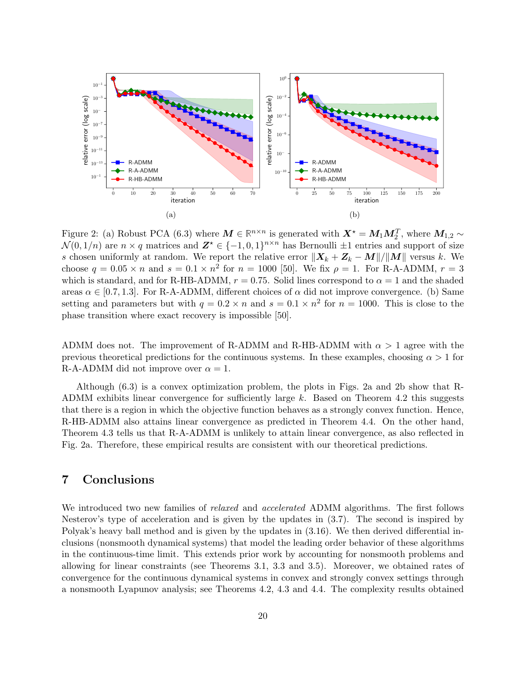

Figure 2: (a) Robust PCA (6.3) where  $M \in \mathbb{R}^{n \times n}$  is generated with  $X^* = M_1 M_2^T$ , where  $M_{1,2} \sim$  $\mathcal{N}(0,1/n)$  are  $n \times q$  matrices and  $\mathbf{Z}^* \in \{-1,0,1\}^{n \times n}$  has Bernoulli  $\pm 1$  entries and support of size s chosen uniformly at random. We report the relative error  $||X_k + Z_k - M||/||M||$  versus k. We choose  $q = 0.05 \times n$  and  $s = 0.1 \times n^2$  for  $n = 1000$  [50]. We fix  $\rho = 1$ . For R-A-ADMM,  $r = 3$ which is standard, and for R-HB-ADMM,  $r = 0.75$ . Solid lines correspond to  $\alpha = 1$  and the shaded areas  $\alpha \in [0.7, 1.3]$ . For R-A-ADMM, different choices of  $\alpha$  did not improve convergence. (b) Same setting and parameters but with  $q = 0.2 \times n$  and  $s = 0.1 \times n^2$  for  $n = 1000$ . This is close to the phase transition where exact recovery is impossible [50].

ADMM does not. The improvement of R-ADMM and R-HB-ADMM with  $\alpha > 1$  agree with the previous theoretical predictions for the continuous systems. In these examples, choosing  $\alpha > 1$  for R-A-ADMM did not improve over  $\alpha = 1$ .

Although (6.3) is a convex optimization problem, the plots in Figs. 2a and 2b show that R-ADMM exhibits linear convergence for sufficiently large k. Based on Theorem 4.2 this suggests that there is a region in which the objective function behaves as a strongly convex function. Hence, R-HB-ADMM also attains linear convergence as predicted in Theorem 4.4. On the other hand, Theorem 4.3 tells us that R-A-ADMM is unlikely to attain linear convergence, as also reflected in Fig. 2a. Therefore, these empirical results are consistent with our theoretical predictions.

# 7 Conclusions

We introduced two new families of *relaxed* and *accelerated* ADMM algorithms. The first follows Nesterov's type of acceleration and is given by the updates in (3.7). The second is inspired by Polyak's heavy ball method and is given by the updates in (3.16). We then derived differential inclusions (nonsmooth dynamical systems) that model the leading order behavior of these algorithms in the continuous-time limit. This extends prior work by accounting for nonsmooth problems and allowing for linear constraints (see Theorems 3.1, 3.3 and 3.5). Moreover, we obtained rates of convergence for the continuous dynamical systems in convex and strongly convex settings through a nonsmooth Lyapunov analysis; see Theorems 4.2, 4.3 and 4.4. The complexity results obtained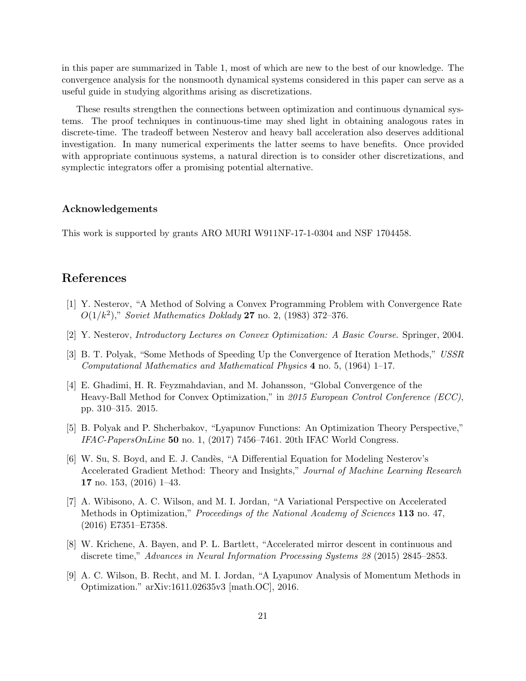in this paper are summarized in Table 1, most of which are new to the best of our knowledge. The convergence analysis for the nonsmooth dynamical systems considered in this paper can serve as a useful guide in studying algorithms arising as discretizations.

These results strengthen the connections between optimization and continuous dynamical systems. The proof techniques in continuous-time may shed light in obtaining analogous rates in discrete-time. The tradeoff between Nesterov and heavy ball acceleration also deserves additional investigation. In many numerical experiments the latter seems to have benefits. Once provided with appropriate continuous systems, a natural direction is to consider other discretizations, and symplectic integrators offer a promising potential alternative.

# Acknowledgements

This work is supported by grants ARO MURI W911NF-17-1-0304 and NSF 1704458.

# References

- [1] Y. Nesterov, "A Method of Solving a Convex Programming Problem with Convergence Rate  $O(1/k^2)$ ," Soviet Mathematics Doklady 27 no. 2, (1983) 372-376.
- [2] Y. Nesterov, Introductory Lectures on Convex Optimization: A Basic Course. Springer, 2004.
- [3] B. T. Polyak, "Some Methods of Speeding Up the Convergence of Iteration Methods," USSR Computational Mathematics and Mathematical Physics 4 no. 5, (1964) 1–17.
- [4] E. Ghadimi, H. R. Feyzmahdavian, and M. Johansson, "Global Convergence of the Heavy-Ball Method for Convex Optimization," in 2015 European Control Conference (ECC), pp. 310–315. 2015.
- [5] B. Polyak and P. Shcherbakov, "Lyapunov Functions: An Optimization Theory Perspective,"  $IFAC-PapersOnLine$  50 no. 1, (2017) 7456–7461. 20th IFAC World Congress.
- [6] W. Su, S. Boyd, and E. J. Candès, "A Differential Equation for Modeling Nesterov's Accelerated Gradient Method: Theory and Insights," Journal of Machine Learning Research 17 no. 153, (2016) 1–43.
- [7] A. Wibisono, A. C. Wilson, and M. I. Jordan, "A Variational Perspective on Accelerated Methods in Optimization," Proceedings of the National Academy of Sciences 113 no. 47, (2016) E7351–E7358.
- [8] W. Krichene, A. Bayen, and P. L. Bartlett, "Accelerated mirror descent in continuous and discrete time," Advances in Neural Information Processing Systems 28 (2015) 2845–2853.
- [9] A. C. Wilson, B. Recht, and M. I. Jordan, "A Lyapunov Analysis of Momentum Methods in Optimization." arXiv:1611.02635v3 [math.OC], 2016.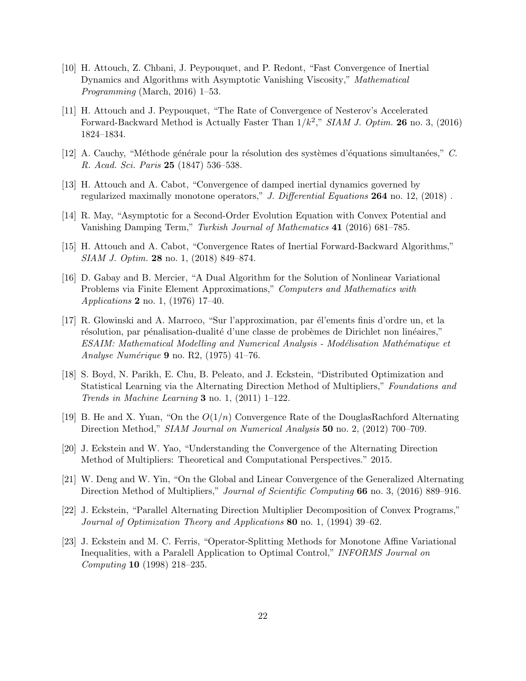- [10] H. Attouch, Z. Chbani, J. Peypouquet, and P. Redont, "Fast Convergence of Inertial Dynamics and Algorithms with Asymptotic Vanishing Viscosity," Mathematical Programming (March, 2016) 1–53.
- [11] H. Attouch and J. Peypouquet, "The Rate of Convergence of Nesterov's Accelerated Forward-Backward Method is Actually Faster Than  $1/k^2$ ," SIAM J. Optim. 26 no. 3, (2016) 1824–1834.
- [12] A. Cauchy, "Méthode générale pour la résolution des systèmes d'équations simultanées," C. R. Acad. Sci. Paris 25 (1847) 536–538.
- [13] H. Attouch and A. Cabot, "Convergence of damped inertial dynamics governed by regularized maximally monotone operators," J. Differential Equations  $264$  no. 12, (2018).
- [14] R. May, "Asymptotic for a Second-Order Evolution Equation with Convex Potential and Vanishing Damping Term," Turkish Journal of Mathematics 41 (2016) 681–785.
- [15] H. Attouch and A. Cabot, "Convergence Rates of Inertial Forward-Backward Algorithms," SIAM J. Optim. 28 no. 1, (2018) 849–874.
- [16] D. Gabay and B. Mercier, "A Dual Algorithm for the Solution of Nonlinear Variational Problems via Finite Element Approximations," Computers and Mathematics with Applications 2 no. 1, (1976) 17–40.
- [17] R. Glowinski and A. Marroco, "Sur l'approximation, par él'ements finis d'ordre un, et la résolution, par pénalisation-dualité d'une classe de probèmes de Dirichlet non linéaires," ESAIM: Mathematical Modelling and Numerical Analysis - Modélisation Mathématique et Analyse Numérique 9 no. R2,  $(1975)$  41–76.
- [18] S. Boyd, N. Parikh, E. Chu, B. Peleato, and J. Eckstein, "Distributed Optimization and Statistical Learning via the Alternating Direction Method of Multipliers," Foundations and Trends in Machine Learning  $3$  no. 1, (2011) 1–122.
- [19] B. He and X. Yuan, "On the  $O(1/n)$  Convergence Rate of the DouglasRachford Alternating Direction Method," SIAM Journal on Numerical Analysis 50 no. 2, (2012) 700–709.
- [20] J. Eckstein and W. Yao, "Understanding the Convergence of the Alternating Direction Method of Multipliers: Theoretical and Computational Perspectives." 2015.
- [21] W. Deng and W. Yin, "On the Global and Linear Convergence of the Generalized Alternating Direction Method of Multipliers," Journal of Scientific Computing 66 no. 3, (2016) 889–916.
- [22] J. Eckstein, "Parallel Alternating Direction Multiplier Decomposition of Convex Programs," Journal of Optimization Theory and Applications 80 no. 1, (1994) 39–62.
- [23] J. Eckstein and M. C. Ferris, "Operator-Splitting Methods for Monotone Affine Variational Inequalities, with a Paralell Application to Optimal Control," INFORMS Journal on Computing 10 (1998) 218–235.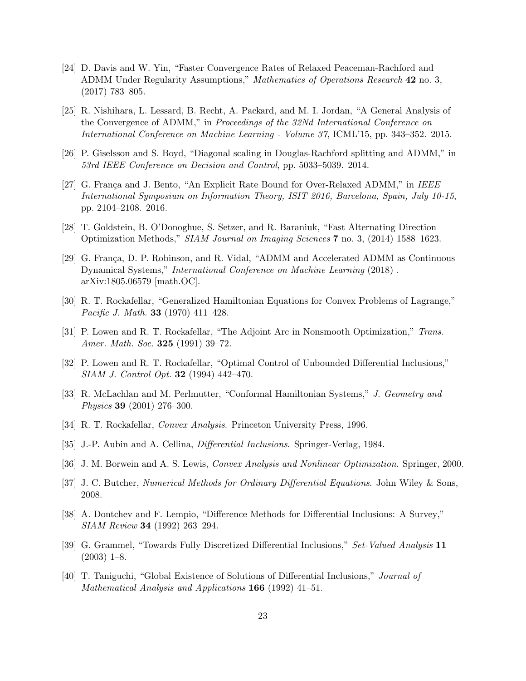- [24] D. Davis and W. Yin, "Faster Convergence Rates of Relaxed Peaceman-Rachford and ADMM Under Regularity Assumptions," Mathematics of Operations Research 42 no. 3, (2017) 783–805.
- [25] R. Nishihara, L. Lessard, B. Recht, A. Packard, and M. I. Jordan, "A General Analysis of the Convergence of ADMM," in Proceedings of the 32Nd International Conference on International Conference on Machine Learning - Volume 37, ICML'15, pp. 343–352. 2015.
- [26] P. Giselsson and S. Boyd, "Diagonal scaling in Douglas-Rachford splitting and ADMM," in 53rd IEEE Conference on Decision and Control, pp. 5033–5039. 2014.
- [27] G. França and J. Bento, "An Explicit Rate Bound for Over-Relaxed ADMM," in IEEE International Symposium on Information Theory, ISIT 2016, Barcelona, Spain, July 10-15, pp. 2104–2108. 2016.
- [28] T. Goldstein, B. O'Donoghue, S. Setzer, and R. Baraniuk, "Fast Alternating Direction Optimization Methods," SIAM Journal on Imaging Sciences 7 no. 3, (2014) 1588–1623.
- [29] G. França, D. P. Robinson, and R. Vidal, "ADMM and Accelerated ADMM as Continuous Dynamical Systems," International Conference on Machine Learning (2018) . arXiv:1805.06579 [math.OC].
- [30] R. T. Rockafellar, "Generalized Hamiltonian Equations for Convex Problems of Lagrange," Pacific J. Math. **33** (1970) 411–428.
- [31] P. Lowen and R. T. Rockafellar, "The Adjoint Arc in Nonsmooth Optimization," Trans. Amer. Math. Soc. **325** (1991) 39-72.
- [32] P. Lowen and R. T. Rockafellar, "Optimal Control of Unbounded Differential Inclusions," SIAM J. Control Opt. 32 (1994) 442–470.
- [33] R. McLachlan and M. Perlmutter, "Conformal Hamiltonian Systems," J. Geometry and Physics 39 (2001) 276–300.
- [34] R. T. Rockafellar, Convex Analysis. Princeton University Press, 1996.
- [35] J.-P. Aubin and A. Cellina, Differential Inclusions. Springer-Verlag, 1984.
- [36] J. M. Borwein and A. S. Lewis, Convex Analysis and Nonlinear Optimization. Springer, 2000.
- [37] J. C. Butcher, Numerical Methods for Ordinary Differential Equations. John Wiley & Sons, 2008.
- [38] A. Dontchev and F. Lempio, "Difference Methods for Differential Inclusions: A Survey," SIAM Review 34 (1992) 263–294.
- [39] G. Grammel, "Towards Fully Discretized Differential Inclusions," Set-Valued Analysis 11  $(2003)$  1–8.
- [40] T. Taniguchi, "Global Existence of Solutions of Differential Inclusions," Journal of Mathematical Analysis and Applications 166 (1992) 41–51.